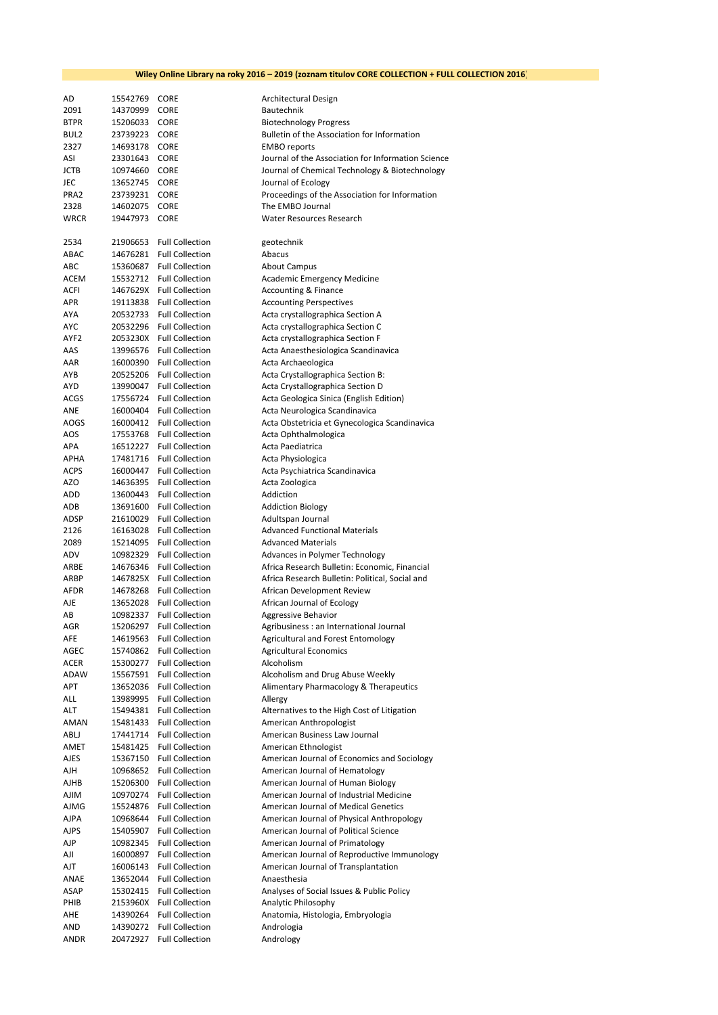| AD          | 15542769      | <b>CORE</b>                                          | Architectural Design                               |
|-------------|---------------|------------------------------------------------------|----------------------------------------------------|
| 2091        | 14370999      | <b>CORE</b>                                          | Bautechnik                                         |
| <b>BTPR</b> | 15206033 CORE |                                                      | <b>Biotechnology Progress</b>                      |
| BUL2        | 23739223 CORE |                                                      | Bulletin of the Association for Information        |
| 2327        |               |                                                      |                                                    |
|             | 14693178 CORE |                                                      | <b>EMBO</b> reports                                |
| ASI         | 23301643 CORE |                                                      | Journal of the Association for Information Science |
| <b>JCTB</b> | 10974660 CORE |                                                      | Journal of Chemical Technology & Biotechnology     |
| JEC         | 13652745 CORE |                                                      | Journal of Ecology                                 |
| PRA2        | 23739231 CORE |                                                      | Proceedings of the Association for Information     |
| 2328        | 14602075 CORE |                                                      | The EMBO Journal                                   |
| <b>WRCR</b> | 19447973      | <b>CORE</b>                                          | Water Resources Research                           |
| 2534        |               | 21906653 Full Collection                             | geotechnik                                         |
| ABAC        |               | 14676281 Full Collection                             | Abacus                                             |
|             |               |                                                      |                                                    |
| ABC<br>ACEM |               | 15360687 Full Collection<br>15532712 Full Collection | <b>About Campus</b>                                |
|             |               |                                                      | Academic Emergency Medicine                        |
| ACFI        |               | 1467629X Full Collection                             | Accounting & Finance                               |
| APR         |               | 19113838 Full Collection                             | <b>Accounting Perspectives</b>                     |
| AYA         |               | 20532733 Full Collection                             | Acta crystallographica Section A                   |
| <b>AYC</b>  |               | 20532296 Full Collection                             | Acta crystallographica Section C                   |
| AYF2        |               | 2053230X Full Collection                             | Acta crystallographica Section F                   |
| AAS         |               | 13996576 Full Collection                             | Acta Anaesthesiologica Scandinavica                |
| AAR         |               | 16000390 Full Collection                             | Acta Archaeologica                                 |
| AYB         |               | 20525206 Full Collection                             | Acta Crystallographica Section B:                  |
| AYD         |               | 13990047 Full Collection                             | Acta Crystallographica Section D                   |
| ACGS        |               | 17556724 Full Collection                             | Acta Geologica Sinica (English Edition)            |
| ANE         |               | 16000404 Full Collection                             | Acta Neurologica Scandinavica                      |
| <b>AOGS</b> |               | 16000412 Full Collection                             | Acta Obstetricia et Gynecologica Scandinavica      |
| AOS         |               | 17553768 Full Collection                             | Acta Ophthalmologica                               |
| APA         |               | 16512227 Full Collection                             | Acta Paediatrica                                   |
| APHA        |               | 17481716 Full Collection                             | Acta Physiologica                                  |
| <b>ACPS</b> |               | 16000447 Full Collection                             | Acta Psychiatrica Scandinavica                     |
| <b>AZO</b>  |               | 14636395 Full Collection                             | Acta Zoologica                                     |
| ADD         |               | 13600443 Full Collection                             | Addiction                                          |
| ADB         |               | 13691600 Full Collection                             | <b>Addiction Biology</b>                           |
| ADSP        |               | 21610029 Full Collection                             | Adultspan Journal                                  |
| 2126        |               | 16163028 Full Collection                             | <b>Advanced Functional Materials</b>               |
| 2089        |               | 15214095 Full Collection                             | <b>Advanced Materials</b>                          |
| ADV         |               | 10982329 Full Collection                             |                                                    |
|             |               |                                                      | Advances in Polymer Technology                     |
| ARBE        |               | 14676346 Full Collection                             | Africa Research Bulletin: Economic, Financial      |
| ARBP        |               | 1467825X Full Collection                             | Africa Research Bulletin: Political, Social and    |
| AFDR        |               | 14678268 Full Collection                             | African Development Review                         |
| AJE         |               | 13652028 Full Collection                             | African Journal of Ecology                         |
| AB          |               | 10982337 Full Collection                             | Aggressive Behavior                                |
| AGR         |               | 15206297 Full Collection                             | Agribusiness : an International Journal            |
| AFE         |               | 14619563 Full Collection                             | Agricultural and Forest Entomology                 |
| AGEC        |               | 15740862 Full Collection                             | <b>Agricultural Economics</b>                      |
| ACER        |               | 15300277 Full Collection                             | Alcoholism                                         |
| ADAW        |               | 15567591 Full Collection                             | Alcoholism and Drug Abuse Weekly                   |
| APT         |               | 13652036 Full Collection                             | Alimentary Pharmacology & Therapeutics             |
| ALL         |               | 13989995 Full Collection                             | Allergy                                            |
| ALT         |               | 15494381 Full Collection                             | Alternatives to the High Cost of Litigation        |
| AMAN        |               | 15481433 Full Collection                             | American Anthropologist                            |
| ABLJ        |               | 17441714 Full Collection                             | American Business Law Journal                      |
| AMET        |               | 15481425 Full Collection                             | American Ethnologist                               |
| AJES        |               | 15367150 Full Collection                             | American Journal of Economics and Sociology        |
| AJH         |               | 10968652 Full Collection                             | American Journal of Hematology                     |
| AJHB        |               | 15206300 Full Collection                             | American Journal of Human Biology                  |
| <b>AJIM</b> |               | 10970274 Full Collection                             | American Journal of Industrial Medicine            |
| AJMG        | 15524876      | <b>Full Collection</b>                               | <b>American Journal of Medical Genetics</b>        |
| AJPA        |               | 10968644 Full Collection                             | American Journal of Physical Anthropology          |
| <b>AJPS</b> |               | 15405907 Full Collection                             | American Journal of Political Science              |
| AJP         | 10982345      | <b>Full Collection</b>                               | American Journal of Primatology                    |
| AJI         | 16000897      | <b>Full Collection</b>                               | American Journal of Reproductive Immunology        |
| AJT         | 16006143      | <b>Full Collection</b>                               | American Journal of Transplantation                |
|             |               |                                                      |                                                    |
| ANAE        |               | 13652044 Full Collection                             | Anaesthesia                                        |
| ASAP        |               | 15302415 Full Collection                             | Analyses of Social Issues & Public Policy          |
| PHIB        |               | 2153960X Full Collection                             | Analytic Philosophy                                |
| AHE         |               | 14390264 Full Collection                             | Anatomia, Histologia, Embryologia                  |
| AND         |               | 14390272 Full Collection                             | Andrologia                                         |
| ANDR        | 20472927      | <b>Full Collection</b>                               | Andrology                                          |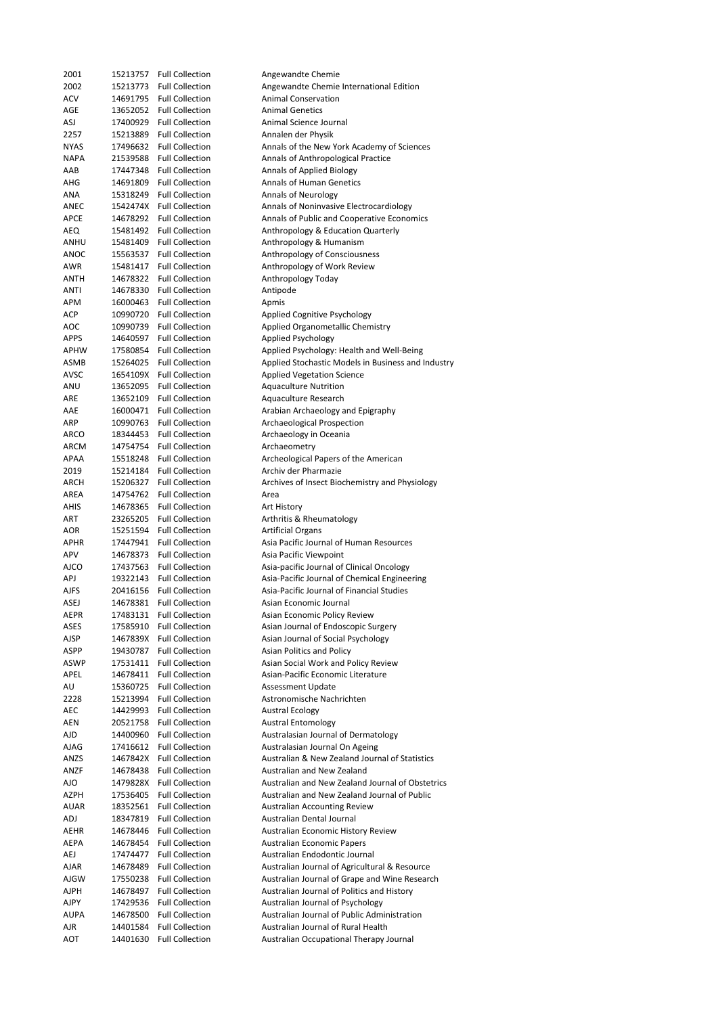| 2001        | 15213757 | <b>Full Collection</b> | Angewandte Chemie                                  |
|-------------|----------|------------------------|----------------------------------------------------|
| 2002        | 15213773 | <b>Full Collection</b> | Angewandte Chemie International Edition            |
| <b>ACV</b>  | 14691795 | <b>Full Collection</b> | <b>Animal Conservation</b>                         |
| AGE         | 13652052 | <b>Full Collection</b> | <b>Animal Genetics</b>                             |
| ASJ         |          | <b>Full Collection</b> | Animal Science Journal                             |
|             | 17400929 |                        |                                                    |
| 2257        | 15213889 | <b>Full Collection</b> | Annalen der Physik                                 |
| <b>NYAS</b> | 17496632 | <b>Full Collection</b> | Annals of the New York Academy of Sciences         |
| <b>NAPA</b> | 21539588 | <b>Full Collection</b> | Annals of Anthropological Practice                 |
| AAB         | 17447348 | <b>Full Collection</b> | Annals of Applied Biology                          |
| AHG         | 14691809 | <b>Full Collection</b> | <b>Annals of Human Genetics</b>                    |
| ANA         | 15318249 | <b>Full Collection</b> | <b>Annals of Neurology</b>                         |
|             |          |                        |                                                    |
| ANEC        | 1542474X | <b>Full Collection</b> | Annals of Noninvasive Electrocardiology            |
| APCE        | 14678292 | <b>Full Collection</b> | Annals of Public and Cooperative Economics         |
| AEQ         | 15481492 | <b>Full Collection</b> | Anthropology & Education Quarterly                 |
| ANHU        | 15481409 | <b>Full Collection</b> | Anthropology & Humanism                            |
| ANOC        | 15563537 | <b>Full Collection</b> | Anthropology of Consciousness                      |
| AWR         | 15481417 | <b>Full Collection</b> |                                                    |
|             |          |                        | Anthropology of Work Review                        |
| ANTH        | 14678322 | <b>Full Collection</b> | Anthropology Today                                 |
| ANTI        | 14678330 | <b>Full Collection</b> | Antipode                                           |
| APM         | 16000463 | <b>Full Collection</b> | Apmis                                              |
| ACP         | 10990720 | <b>Full Collection</b> | Applied Cognitive Psychology                       |
| AOC         | 10990739 | <b>Full Collection</b> | Applied Organometallic Chemistry                   |
|             |          |                        |                                                    |
| APPS        | 14640597 | <b>Full Collection</b> | Applied Psychology                                 |
| APHW        | 17580854 | <b>Full Collection</b> | Applied Psychology: Health and Well-Being          |
| ASMB        | 15264025 | <b>Full Collection</b> | Applied Stochastic Models in Business and Industry |
| <b>AVSC</b> | 1654109X | <b>Full Collection</b> | <b>Applied Vegetation Science</b>                  |
| ANU         | 13652095 | <b>Full Collection</b> | <b>Aquaculture Nutrition</b>                       |
| ARE         | 13652109 | <b>Full Collection</b> | Aquaculture Research                               |
|             |          |                        |                                                    |
| AAE         | 16000471 | <b>Full Collection</b> | Arabian Archaeology and Epigraphy                  |
| ARP         | 10990763 | <b>Full Collection</b> | Archaeological Prospection                         |
| ARCO        | 18344453 | <b>Full Collection</b> | Archaeology in Oceania                             |
| ARCM        | 14754754 | <b>Full Collection</b> | Archaeometry                                       |
| APAA        | 15518248 | <b>Full Collection</b> | Archeological Papers of the American               |
| 2019        | 15214184 | <b>Full Collection</b> | Archiv der Pharmazie                               |
|             |          |                        |                                                    |
| ARCH        | 15206327 | <b>Full Collection</b> | Archives of Insect Biochemistry and Physiology     |
| AREA        | 14754762 | <b>Full Collection</b> | Area                                               |
| AHIS        | 14678365 | <b>Full Collection</b> | Art History                                        |
| ART         | 23265205 | <b>Full Collection</b> | Arthritis & Rheumatology                           |
| AOR         | 15251594 | <b>Full Collection</b> | <b>Artificial Organs</b>                           |
| APHR        | 17447941 | <b>Full Collection</b> | Asia Pacific Journal of Human Resources            |
|             |          |                        |                                                    |
| APV         | 14678373 | <b>Full Collection</b> | Asia Pacific Viewpoint                             |
| <b>AJCO</b> | 17437563 | <b>Full Collection</b> | Asia-pacific Journal of Clinical Oncology          |
| APJ         | 19322143 | <b>Full Collection</b> | Asia-Pacific Journal of Chemical Engineering       |
| AJFS        | 20416156 | <b>Full Collection</b> | Asia-Pacific Journal of Financial Studies          |
| ASEJ        | 14678381 | <b>Full Collection</b> | Asian Economic Journal                             |
|             |          |                        |                                                    |
| AEPR        | 17483131 | <b>Full Collection</b> | Asian Economic Policy Review                       |
| ASES        | 17585910 | <b>Full Collection</b> | Asian Journal of Endoscopic Surgery                |
| AJSP        | 1467839X | <b>Full Collection</b> | Asian Journal of Social Psychology                 |
| ASPP        | 19430787 | <b>Full Collection</b> | Asian Politics and Policy                          |
| ASWP        | 17531411 | <b>Full Collection</b> | Asian Social Work and Policy Review                |
| APEL        | 14678411 | <b>Full Collection</b> | Asian-Pacific Economic Literature                  |
| AU          | 15360725 | <b>Full Collection</b> | <b>Assessment Update</b>                           |
|             |          |                        |                                                    |
| 2228        | 15213994 | <b>Full Collection</b> | Astronomische Nachrichten                          |
| AEC         | 14429993 | <b>Full Collection</b> | <b>Austral Ecology</b>                             |
| AEN         | 20521758 | <b>Full Collection</b> | <b>Austral Entomology</b>                          |
| AJD         | 14400960 | <b>Full Collection</b> | Australasian Journal of Dermatology                |
| AJAG        | 17416612 | <b>Full Collection</b> | Australasian Journal On Ageing                     |
|             |          |                        | Australian & New Zealand Journal of Statistics     |
| ANZS        | 1467842X | <b>Full Collection</b> |                                                    |
| ANZF        | 14678438 | <b>Full Collection</b> | Australian and New Zealand                         |
| AJO         | 1479828X | <b>Full Collection</b> | Australian and New Zealand Journal of Obstetrics   |
| AZPH        | 17536405 | <b>Full Collection</b> | Australian and New Zealand Journal of Public       |
| <b>AUAR</b> | 18352561 | <b>Full Collection</b> | <b>Australian Accounting Review</b>                |
| ADJ         | 18347819 | <b>Full Collection</b> | Australian Dental Journal                          |
|             |          |                        |                                                    |
| AEHR        | 14678446 | <b>Full Collection</b> | Australian Economic History Review                 |
| AEPA        | 14678454 | <b>Full Collection</b> | Australian Economic Papers                         |
| AEJ         | 17474477 | <b>Full Collection</b> | Australian Endodontic Journal                      |
| AJAR        | 14678489 | <b>Full Collection</b> | Australian Journal of Agricultural & Resource      |
| AJGW        | 17550238 | <b>Full Collection</b> | Australian Journal of Grape and Wine Research      |
|             |          | <b>Full Collection</b> |                                                    |
| AJPH        | 14678497 |                        | Australian Journal of Politics and History         |
| AJPY        | 17429536 | <b>Full Collection</b> | Australian Journal of Psychology                   |
| <b>AUPA</b> | 14678500 | <b>Full Collection</b> | Australian Journal of Public Administration        |
| AJR         | 14401584 | <b>Full Collection</b> | Australian Journal of Rural Health                 |
| AOT         | 14401630 | <b>Full Collection</b> | Australian Occupational Therapy Journal            |
|             |          |                        |                                                    |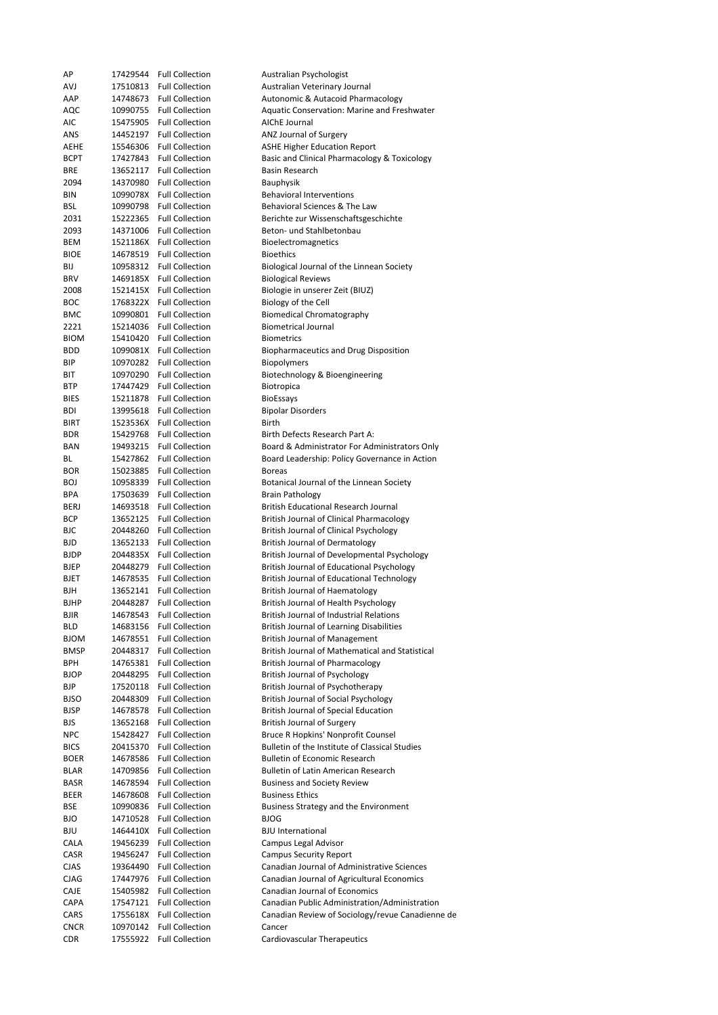| АP                        | 17429544 | <b>Full Collection</b>                             | Australian Psychologist                            |
|---------------------------|----------|----------------------------------------------------|----------------------------------------------------|
| AVJ                       | 17510813 | <b>Full Collection</b>                             | Australian Veterinary Journal                      |
| AAP                       | 14748673 | <b>Full Collection</b>                             | Autonomic & Autacoid Pharmacology                  |
| AQC                       | 10990755 | <b>Full Collection</b>                             | <b>Aquatic Conservation: Marine and Freshwater</b> |
| AIC                       | 15475905 | <b>Full Collection</b>                             | AIChE Journal                                      |
|                           |          |                                                    |                                                    |
| ANS                       | 14452197 | <b>Full Collection</b>                             | ANZ Journal of Surgery                             |
| AEHE                      | 15546306 | <b>Full Collection</b>                             | <b>ASHE Higher Education Report</b>                |
| <b>BCPT</b>               | 17427843 | <b>Full Collection</b>                             | Basic and Clinical Pharmacology & Toxicology       |
| BRE                       | 13652117 | <b>Full Collection</b>                             | Basin Research                                     |
| 2094                      | 14370980 | <b>Full Collection</b>                             | <b>Bauphysik</b>                                   |
| BIN                       | 1099078X | <b>Full Collection</b>                             | <b>Behavioral Interventions</b>                    |
|                           |          |                                                    |                                                    |
| BSL                       | 10990798 | <b>Full Collection</b>                             | Behavioral Sciences & The Law                      |
| 2031                      | 15222365 | <b>Full Collection</b>                             | Berichte zur Wissenschaftsgeschichte               |
| 2093                      | 14371006 | <b>Full Collection</b>                             | Beton- und Stahlbetonbau                           |
| BEM                       |          | 1521186X Full Collection                           | Bioelectromagnetics                                |
| <b>BIOE</b>               | 14678519 | <b>Full Collection</b>                             | <b>Bioethics</b>                                   |
| BIJ                       |          | 10958312 Full Collection                           | Biological Journal of the Linnean Society          |
|                           |          |                                                    |                                                    |
| <b>BRV</b>                |          | 1469185X Full Collection                           | <b>Biological Reviews</b>                          |
| 2008                      |          | 1521415X Full Collection                           | Biologie in unserer Zeit (BIUZ)                    |
| <b>BOC</b>                |          | 1768322X Full Collection                           | Biology of the Cell                                |
| <b>BMC</b>                | 10990801 | <b>Full Collection</b>                             | <b>Biomedical Chromatography</b>                   |
| 2221                      | 15214036 | <b>Full Collection</b>                             | <b>Biometrical Journal</b>                         |
| <b>BIOM</b>               |          | 15410420 Full Collection                           | <b>Biometrics</b>                                  |
|                           |          |                                                    |                                                    |
| BDD                       |          | 1099081X Full Collection                           | Biopharmaceutics and Drug Disposition              |
| BIP                       | 10970282 | <b>Full Collection</b>                             | Biopolymers                                        |
| BIT                       |          | 10970290 Full Collection                           | Biotechnology & Bioengineering                     |
| <b>BTP</b>                | 17447429 | <b>Full Collection</b>                             | Biotropica                                         |
| <b>BIES</b>               | 15211878 | <b>Full Collection</b>                             | <b>BioEssays</b>                                   |
| BDI                       | 13995618 | <b>Full Collection</b>                             | <b>Bipolar Disorders</b>                           |
|                           |          |                                                    |                                                    |
| <b>BIRT</b>               |          | 1523536X Full Collection                           | Birth                                              |
| <b>BDR</b>                | 15429768 | <b>Full Collection</b>                             | Birth Defects Research Part A:                     |
| BAN                       | 19493215 | <b>Full Collection</b>                             | Board & Administrator For Administrators Only      |
| ВL                        | 15427862 | <b>Full Collection</b>                             | Board Leadership: Policy Governance in Action      |
| BOR                       | 15023885 | <b>Full Collection</b>                             | <b>Boreas</b>                                      |
|                           |          | <b>Full Collection</b>                             |                                                    |
| BOJ                       | 10958339 |                                                    | Botanical Journal of the Linnean Society           |
| <b>BPA</b>                | 17503639 | <b>Full Collection</b>                             | Brain Pathology                                    |
| <b>BERJ</b>               | 14693518 | <b>Full Collection</b>                             | <b>British Educational Research Journal</b>        |
| BCP                       | 13652125 | <b>Full Collection</b>                             | British Journal of Clinical Pharmacology           |
|                           |          |                                                    |                                                    |
|                           |          |                                                    |                                                    |
| BJC                       | 20448260 | <b>Full Collection</b>                             | British Journal of Clinical Psychology             |
| <b>BJD</b>                | 13652133 | <b>Full Collection</b>                             | <b>British Journal of Dermatology</b>              |
| <b>BJDP</b>               |          | 2044835X Full Collection                           | British Journal of Developmental Psychology        |
| BJEP                      | 20448279 | <b>Full Collection</b>                             | British Journal of Educational Psychology          |
| <b>BJET</b>               | 14678535 | <b>Full Collection</b>                             | British Journal of Educational Technology          |
| BJH                       |          | 13652141 Full Collection                           | British Journal of Haematology                     |
|                           |          |                                                    |                                                    |
| <b>BJHP</b>               | 20448287 | <b>Full Collection</b>                             | British Journal of Health Psychology               |
| BJIR                      | 14678543 | <b>Full Collection</b>                             | British Journal of Industrial Relations            |
| BLD                       | 14683156 | <b>Full Collection</b>                             | <b>British Journal of Learning Disabilities</b>    |
| <b>BJOM</b>               | 14678551 | <b>Full Collection</b>                             | <b>British Journal of Management</b>               |
| <b>BMSP</b>               | 20448317 | <b>Full Collection</b>                             | British Journal of Mathematical and Statistical    |
| BPH                       | 14765381 | <b>Full Collection</b>                             | <b>British Journal of Pharmacology</b>             |
| <b>BJOP</b>               | 20448295 | <b>Full Collection</b>                             |                                                    |
|                           |          |                                                    | <b>British Journal of Psychology</b>               |
| BJP                       | 17520118 | <b>Full Collection</b>                             | British Journal of Psychotherapy                   |
| <b>BJSO</b>               | 20448309 | <b>Full Collection</b>                             | British Journal of Social Psychology               |
| <b>BJSP</b>               | 14678578 | <b>Full Collection</b>                             | <b>British Journal of Special Education</b>        |
| BJS                       | 13652168 | <b>Full Collection</b>                             | British Journal of Surgery                         |
| <b>NPC</b>                | 15428427 | <b>Full Collection</b>                             | Bruce R Hopkins' Nonprofit Counsel                 |
|                           |          |                                                    |                                                    |
| <b>BICS</b>               | 20415370 | <b>Full Collection</b>                             | Bulletin of the Institute of Classical Studies     |
| <b>BOER</b>               | 14678586 | <b>Full Collection</b>                             | <b>Bulletin of Economic Research</b>               |
| <b>BLAR</b>               | 14709856 | <b>Full Collection</b>                             | <b>Bulletin of Latin American Research</b>         |
| <b>BASR</b>               | 14678594 | <b>Full Collection</b>                             | <b>Business and Society Review</b>                 |
| BEER                      | 14678608 | <b>Full Collection</b>                             | <b>Business Ethics</b>                             |
| BSE                       | 10990836 | <b>Full Collection</b>                             | Business Strategy and the Environment              |
|                           |          |                                                    |                                                    |
| BJO                       | 14710528 | <b>Full Collection</b>                             | <b>BJOG</b>                                        |
| BJU                       | 1464410X | <b>Full Collection</b>                             | <b>BJU</b> International                           |
| CALA                      | 19456239 | <b>Full Collection</b>                             | Campus Legal Advisor                               |
| CASR                      | 19456247 | <b>Full Collection</b>                             | <b>Campus Security Report</b>                      |
| <b>CJAS</b>               | 19364490 | <b>Full Collection</b>                             | Canadian Journal of Administrative Sciences        |
| <b>CJAG</b>               | 17447976 | <b>Full Collection</b>                             | Canadian Journal of Agricultural Economics         |
|                           |          |                                                    |                                                    |
| CAJE                      | 15405982 | <b>Full Collection</b>                             | Canadian Journal of Economics                      |
| CAPA                      | 17547121 | <b>Full Collection</b>                             | Canadian Public Administration/Administration      |
| CARS                      | 1755618X | <b>Full Collection</b>                             | Canadian Review of Sociology/revue Canadienne de   |
| <b>CNCR</b><br><b>CDR</b> | 10970142 | <b>Full Collection</b><br>17555922 Full Collection | Cancer<br>Cardiovascular Therapeutics              |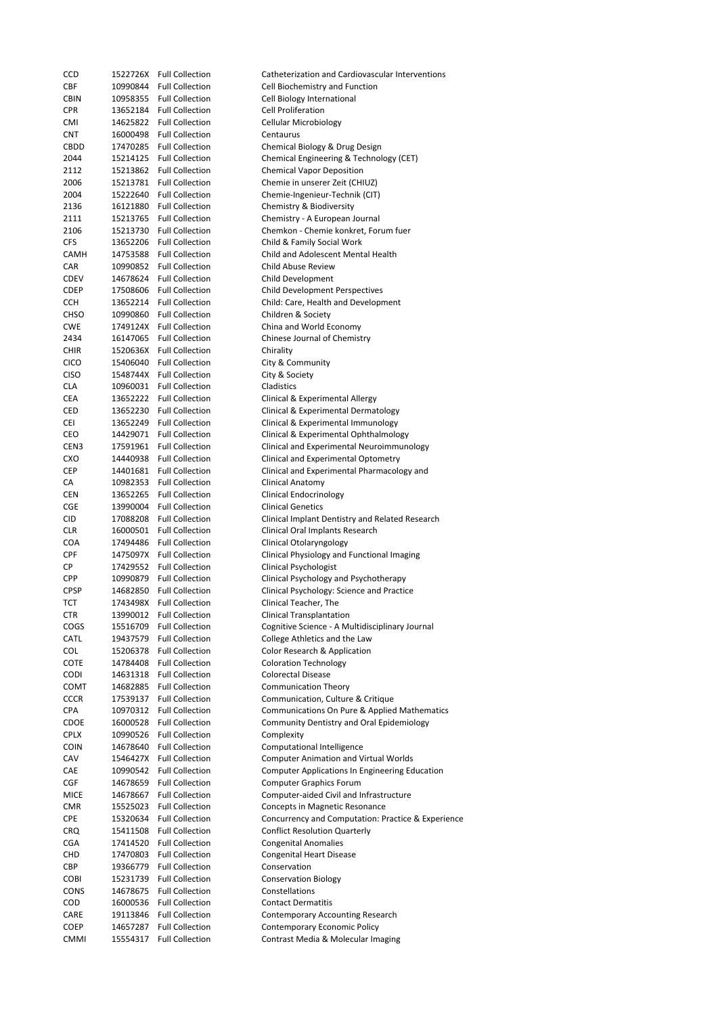| CCD         |          | 1522726X Full Collection | Catheterization and Cardiovascular Interventions      |
|-------------|----------|--------------------------|-------------------------------------------------------|
| CBF         |          | 10990844 Full Collection | Cell Biochemistry and Function                        |
| <b>CBIN</b> |          | 10958355 Full Collection | Cell Biology International                            |
| <b>CPR</b>  |          | 13652184 Full Collection | <b>Cell Proliferation</b>                             |
| CMI         |          | 14625822 Full Collection | Cellular Microbiology                                 |
| <b>CNT</b>  |          | 16000498 Full Collection | Centaurus                                             |
| CBDD        |          | 17470285 Full Collection | Chemical Biology & Drug Design                        |
|             |          | 15214125 Full Collection |                                                       |
| 2044        |          |                          | Chemical Engineering & Technology (CET)               |
| 2112        |          | 15213862 Full Collection | <b>Chemical Vapor Deposition</b>                      |
| 2006        |          | 15213781 Full Collection | Chemie in unserer Zeit (CHIUZ)                        |
| 2004        |          | 15222640 Full Collection | Chemie-Ingenieur-Technik (CIT)                        |
| 2136        |          | 16121880 Full Collection | Chemistry & Biodiversity                              |
| 2111        |          | 15213765 Full Collection | Chemistry - A European Journal                        |
| 2106        |          | 15213730 Full Collection | Chemkon - Chemie konkret, Forum fuer                  |
|             |          | 13652206 Full Collection | Child & Family Social Work                            |
| CFS         |          |                          |                                                       |
| CAMH        |          | 14753588 Full Collection | Child and Adolescent Mental Health                    |
| CAR         |          | 10990852 Full Collection | Child Abuse Review                                    |
| CDEV        |          | 14678624 Full Collection | Child Development                                     |
| CDEP        |          | 17508606 Full Collection | <b>Child Development Perspectives</b>                 |
| <b>CCH</b>  |          | 13652214 Full Collection | Child: Care, Health and Development                   |
| <b>CHSO</b> |          | 10990860 Full Collection | Children & Society                                    |
| <b>CWE</b>  |          | 1749124X Full Collection | China and World Economy                               |
|             |          | 16147065 Full Collection |                                                       |
| 2434        |          |                          | Chinese Journal of Chemistry                          |
| <b>CHIR</b> |          | 1520636X Full Collection | Chirality                                             |
| <b>CICO</b> |          | 15406040 Full Collection | City & Community                                      |
| CISO        |          | 1548744X Full Collection | City & Society                                        |
| <b>CLA</b>  |          | 10960031 Full Collection | Cladistics                                            |
| CEA         |          | 13652222 Full Collection | Clinical & Experimental Allergy                       |
| CED         |          | 13652230 Full Collection | Clinical & Experimental Dermatology                   |
|             |          |                          |                                                       |
| CEI         |          | 13652249 Full Collection | Clinical & Experimental Immunology                    |
| CEO         |          | 14429071 Full Collection | Clinical & Experimental Ophthalmology                 |
| CEN3        |          | 17591961 Full Collection | Clinical and Experimental Neuroimmunology             |
| CXO         |          | 14440938 Full Collection | Clinical and Experimental Optometry                   |
| CEP         |          | 14401681 Full Collection | Clinical and Experimental Pharmacology and            |
| СA          |          | 10982353 Full Collection | Clinical Anatomy                                      |
| <b>CEN</b>  |          | 13652265 Full Collection | Clinical Endocrinology                                |
| CGE         |          | 13990004 Full Collection | <b>Clinical Genetics</b>                              |
|             |          |                          |                                                       |
| CID         |          | 17088208 Full Collection | Clinical Implant Dentistry and Related Research       |
| <b>CLR</b>  |          | 16000501 Full Collection | Clinical Oral Implants Research                       |
| <b>COA</b>  |          | 17494486 Full Collection | Clinical Otolaryngology                               |
| CPF         |          | 1475097X Full Collection | Clinical Physiology and Functional Imaging            |
| СP          |          | 17429552 Full Collection | <b>Clinical Psychologist</b>                          |
| <b>CPP</b>  |          | 10990879 Full Collection | Clinical Psychology and Psychotherapy                 |
| <b>CPSP</b> | 14682850 | <b>Full Collection</b>   | Clinical Psychology: Science and Practice             |
|             |          |                          |                                                       |
| TCT         | 1743498X | <b>Full Collection</b>   | Clinical Teacher, The                                 |
| CTR         | 13990012 | <b>Full Collection</b>   | <b>Clinical Transplantation</b>                       |
| COGS        | 15516709 | <b>Full Collection</b>   | Cognitive Science - A Multidisciplinary Journal       |
| CATL        |          | 19437579 Full Collection | College Athletics and the Law                         |
| COL         |          | 15206378 Full Collection | Color Research & Application                          |
| COTE        |          | 14784408 Full Collection | <b>Coloration Technology</b>                          |
| <b>CODI</b> |          | 14631318 Full Collection | <b>Colorectal Disease</b>                             |
| COMT        |          | 14682885 Full Collection | <b>Communication Theory</b>                           |
|             |          |                          |                                                       |
| <b>CCCR</b> |          | 17539137 Full Collection | Communication, Culture & Critique                     |
| CPA         |          | 10970312 Full Collection | Communications On Pure & Applied Mathematics          |
| CDOE        |          | 16000528 Full Collection | Community Dentistry and Oral Epidemiology             |
| <b>CPLX</b> |          | 10990526 Full Collection | Complexity                                            |
| <b>COIN</b> |          | 14678640 Full Collection | <b>Computational Intelligence</b>                     |
| CAV         |          | 1546427X Full Collection | <b>Computer Animation and Virtual Worlds</b>          |
| CAE         |          | 10990542 Full Collection | <b>Computer Applications In Engineering Education</b> |
|             |          |                          |                                                       |
| CGF         |          | 14678659 Full Collection | Computer Graphics Forum                               |
| <b>MICE</b> | 14678667 | <b>Full Collection</b>   | Computer-aided Civil and Infrastructure               |
| <b>CMR</b>  |          | 15525023 Full Collection | Concepts in Magnetic Resonance                        |
| CPE         |          | 15320634 Full Collection | Concurrency and Computation: Practice & Experience    |
| CRQ         |          | 15411508 Full Collection | <b>Conflict Resolution Quarterly</b>                  |
| <b>CGA</b>  |          | 17414520 Full Collection | <b>Congenital Anomalies</b>                           |
| CHD         |          | 17470803 Full Collection | Congenital Heart Disease                              |
| CBP         |          | 19366779 Full Collection | Conservation                                          |
|             |          |                          |                                                       |
| <b>COBI</b> |          | 15231739 Full Collection | <b>Conservation Biology</b>                           |
| CONS        |          | 14678675 Full Collection | Constellations                                        |
| COD         |          | 16000536 Full Collection | <b>Contact Dermatitis</b>                             |
| CARE        |          | 19113846 Full Collection | Contemporary Accounting Research                      |
| COEP        | 14657287 | <b>Full Collection</b>   | Contemporary Economic Policy                          |
| <b>CMMI</b> | 15554317 | <b>Full Collection</b>   | Contrast Media & Molecular Imaging                    |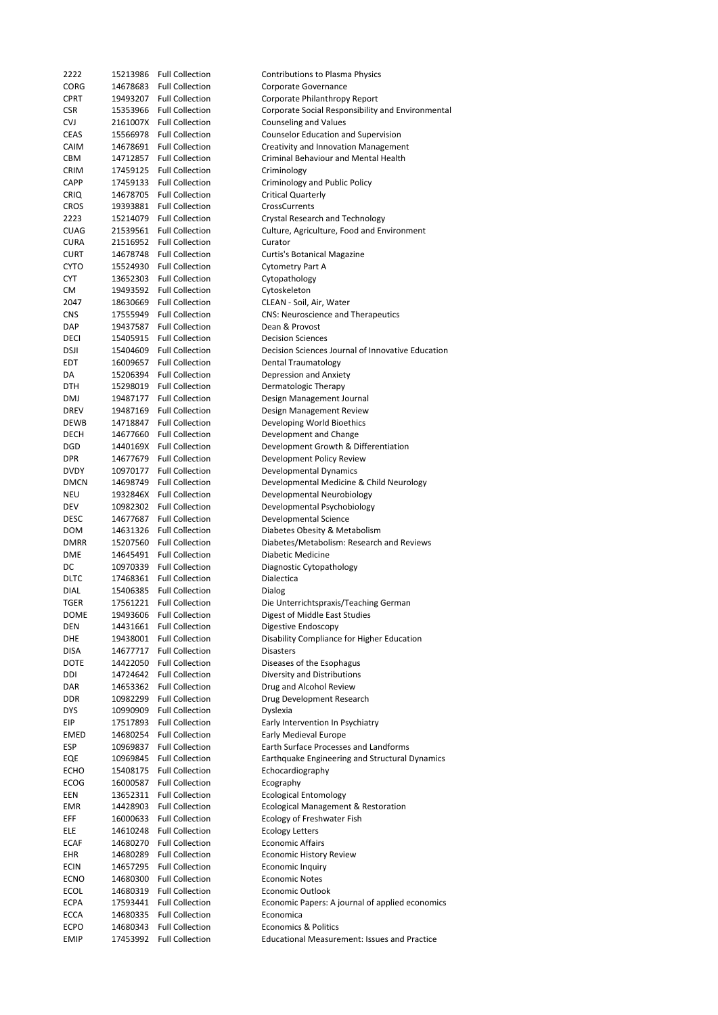| 2222        | 15213986 | <b>Full Collection</b> | <b>Contributions to Plasma Physics</b>              |
|-------------|----------|------------------------|-----------------------------------------------------|
| CORG        | 14678683 | <b>Full Collection</b> | Corporate Governance                                |
| <b>CPRT</b> | 19493207 | <b>Full Collection</b> | Corporate Philanthropy Report                       |
| CSR         | 15353966 | <b>Full Collection</b> | Corporate Social Responsibility and Environmental   |
| CVJ         | 2161007X | <b>Full Collection</b> | <b>Counseling and Values</b>                        |
| CEAS        | 15566978 | <b>Full Collection</b> | Counselor Education and Supervision                 |
| CAIM        | 14678691 | <b>Full Collection</b> | Creativity and Innovation Management                |
| CBM         | 14712857 | <b>Full Collection</b> | Criminal Behaviour and Mental Health                |
| <b>CRIM</b> | 17459125 | <b>Full Collection</b> | Criminology                                         |
| CAPP        | 17459133 | <b>Full Collection</b> | Criminology and Public Policy                       |
| <b>CRIQ</b> | 14678705 | <b>Full Collection</b> | Critical Quarterly                                  |
|             |          | <b>Full Collection</b> |                                                     |
| <b>CROS</b> | 19393881 |                        | CrossCurrents                                       |
| 2223        | 15214079 | <b>Full Collection</b> | Crystal Research and Technology                     |
| <b>CUAG</b> | 21539561 | <b>Full Collection</b> | Culture, Agriculture, Food and Environment          |
| <b>CURA</b> | 21516952 | <b>Full Collection</b> | Curator                                             |
| <b>CURT</b> | 14678748 | <b>Full Collection</b> | Curtis's Botanical Magazine                         |
| <b>CYTO</b> | 15524930 | <b>Full Collection</b> | Cytometry Part A                                    |
| CYT         | 13652303 | <b>Full Collection</b> | Cytopathology                                       |
| СM          | 19493592 | <b>Full Collection</b> | Cytoskeleton                                        |
| 2047        | 18630669 | <b>Full Collection</b> | CLEAN - Soil, Air, Water                            |
| <b>CNS</b>  | 17555949 | <b>Full Collection</b> | <b>CNS: Neuroscience and Therapeutics</b>           |
| DAP         | 19437587 | <b>Full Collection</b> | Dean & Provost                                      |
| DECI        | 15405915 | <b>Full Collection</b> | <b>Decision Sciences</b>                            |
| dsji        | 15404609 | <b>Full Collection</b> | Decision Sciences Journal of Innovative Education   |
|             | 16009657 | <b>Full Collection</b> |                                                     |
| EDT         |          |                        | Dental Traumatology                                 |
| DA          | 15206394 | <b>Full Collection</b> | Depression and Anxiety                              |
| DTH         | 15298019 | <b>Full Collection</b> | Dermatologic Therapy                                |
| DMJ         | 19487177 | <b>Full Collection</b> | Design Management Journal                           |
| DREV        | 19487169 | <b>Full Collection</b> | Design Management Review                            |
| DEWB        | 14718847 | <b>Full Collection</b> | Developing World Bioethics                          |
| DECH        | 14677660 | <b>Full Collection</b> | Development and Change                              |
| DGD         | 1440169X | <b>Full Collection</b> | Development Growth & Differentiation                |
| DPR         | 14677679 | <b>Full Collection</b> | Development Policy Review                           |
| <b>DVDY</b> | 10970177 | <b>Full Collection</b> | Developmental Dynamics                              |
| DMCN        | 14698749 | <b>Full Collection</b> | Developmental Medicine & Child Neurology            |
| NEU         | 1932846X | <b>Full Collection</b> | Developmental Neurobiology                          |
| DEV         | 10982302 | <b>Full Collection</b> | Developmental Psychobiology                         |
|             |          | <b>Full Collection</b> |                                                     |
| DESC        | 14677687 |                        | Developmental Science                               |
| DOM         | 14631326 | <b>Full Collection</b> | Diabetes Obesity & Metabolism                       |
| <b>DMRR</b> | 15207560 | <b>Full Collection</b> | Diabetes/Metabolism: Research and Reviews           |
| DME         | 14645491 | <b>Full Collection</b> | Diabetic Medicine                                   |
| DC          | 10970339 | <b>Full Collection</b> | Diagnostic Cytopathology                            |
| DLTC        | 17468361 | <b>Full Collection</b> | Dialectica                                          |
| DIAL        | 15406385 | <b>Full Collection</b> | Dialog                                              |
| TGER        | 17561221 | <b>Full Collection</b> | Die Unterrichtspraxis/Teaching German               |
| DOME        | 19493606 | <b>Full Collection</b> | Digest of Middle East Studies                       |
| DEN         | 14431661 | <b>Full Collection</b> | Digestive Endoscopy                                 |
| DHE         | 19438001 | <b>Full Collection</b> | Disability Compliance for Higher Education          |
| disa        | 14677717 | <b>Full Collection</b> | <b>Disasters</b>                                    |
| DOTE        | 14422050 | <b>Full Collection</b> | Diseases of the Esophagus                           |
| DDI         | 14724642 | <b>Full Collection</b> | Diversity and Distributions                         |
|             |          |                        |                                                     |
| DAR         | 14653362 | <b>Full Collection</b> | Drug and Alcohol Review                             |
| DDR         | 10982299 | <b>Full Collection</b> | Drug Development Research                           |
| DYS         | 10990909 | <b>Full Collection</b> | Dyslexia                                            |
| EIP         | 17517893 | <b>Full Collection</b> | Early Intervention In Psychiatry                    |
| EMED        | 14680254 | <b>Full Collection</b> | Early Medieval Europe                               |
| ESP         | 10969837 | <b>Full Collection</b> | Earth Surface Processes and Landforms               |
| EQE         | 10969845 | <b>Full Collection</b> | Earthquake Engineering and Structural Dynamics      |
| ECHO        | 15408175 | <b>Full Collection</b> | Echocardiography                                    |
| ECOG        | 16000587 | <b>Full Collection</b> | Ecography                                           |
| EEN         | 13652311 | <b>Full Collection</b> | <b>Ecological Entomology</b>                        |
| EMR         | 14428903 | <b>Full Collection</b> | Ecological Management & Restoration                 |
| EFF         | 16000633 | <b>Full Collection</b> | Ecology of Freshwater Fish                          |
|             | 14610248 | <b>Full Collection</b> | <b>Ecology Letters</b>                              |
| ELE         |          |                        |                                                     |
| ECAF        | 14680270 | <b>Full Collection</b> | <b>Economic Affairs</b>                             |
| EHR         | 14680289 | <b>Full Collection</b> | <b>Economic History Review</b>                      |
| <b>ECIN</b> | 14657295 | <b>Full Collection</b> | Economic Inquiry                                    |
| ECNO        | 14680300 | <b>Full Collection</b> | <b>Economic Notes</b>                               |
| ECOL        | 14680319 | <b>Full Collection</b> | <b>Economic Outlook</b>                             |
| ECPA        | 17593441 | <b>Full Collection</b> | Economic Papers: A journal of applied economics     |
| ECCA        | 14680335 | <b>Full Collection</b> | Economica                                           |
| ECPO        | 14680343 | <b>Full Collection</b> | <b>Economics &amp; Politics</b>                     |
| <b>EMIP</b> | 17453992 | <b>Full Collection</b> | <b>Educational Measurement: Issues and Practice</b> |
|             |          |                        |                                                     |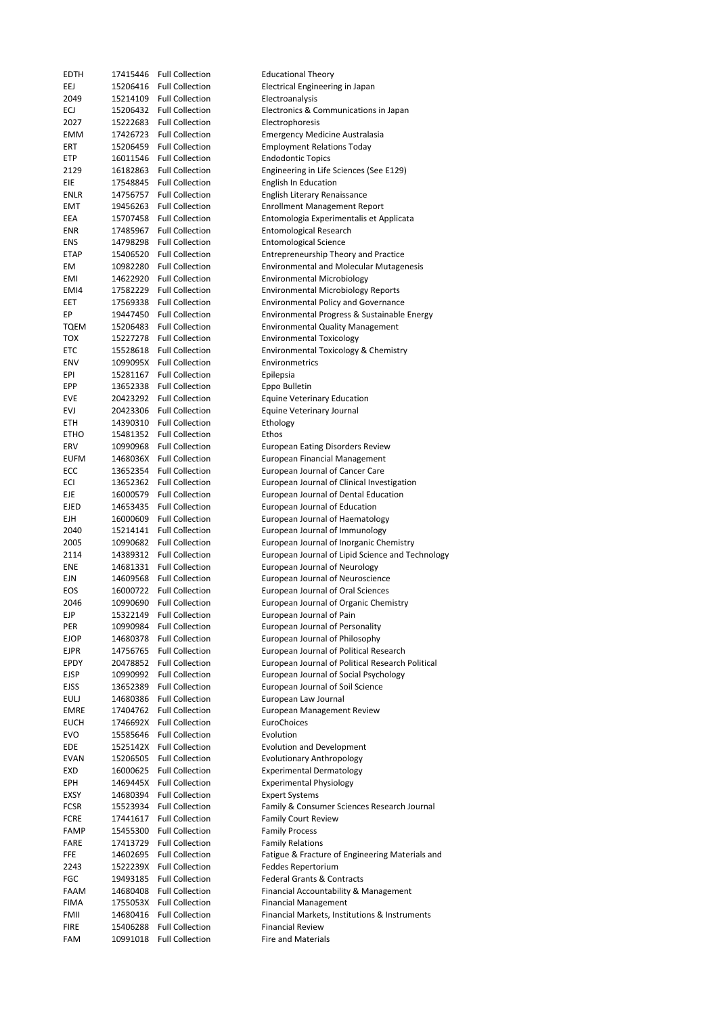| EDTH        | 17415446             | <b>Full Collection</b>                           | <b>Educational Theory</b>                        |
|-------------|----------------------|--------------------------------------------------|--------------------------------------------------|
| EEJ         | 15206416             | <b>Full Collection</b>                           | Electrical Engineering in Japan                  |
| 2049        | 15214109             | <b>Full Collection</b>                           | Electroanalysis                                  |
| ECJ         | 15206432             | <b>Full Collection</b>                           | Electronics & Communications in Japan            |
| 2027        | 15222683             | <b>Full Collection</b>                           | Electrophoresis                                  |
| EMM         | 17426723             | <b>Full Collection</b>                           | <b>Emergency Medicine Australasia</b>            |
|             |                      | <b>Full Collection</b>                           |                                                  |
| ERT         | 15206459             |                                                  | <b>Employment Relations Today</b>                |
| ETP         | 16011546             | <b>Full Collection</b>                           | <b>Endodontic Topics</b>                         |
| 2129        | 16182863             | <b>Full Collection</b>                           | Engineering in Life Sciences (See E129)          |
| EIE         | 17548845             | <b>Full Collection</b>                           | <b>English In Education</b>                      |
| ENLR        | 14756757             | <b>Full Collection</b>                           | English Literary Renaissance                     |
| EMT         | 19456263             | <b>Full Collection</b>                           | <b>Enrollment Management Report</b>              |
| EEA         | 15707458             | <b>Full Collection</b>                           | Entomologia Experimentalis et Applicata          |
| ENR         | 17485967             | <b>Full Collection</b>                           | <b>Entomological Research</b>                    |
| ENS         | 14798298             | <b>Full Collection</b>                           | <b>Entomological Science</b>                     |
| ETAP        | 15406520             | <b>Full Collection</b>                           | <b>Entrepreneurship Theory and Practice</b>      |
| EМ          | 10982280             | <b>Full Collection</b>                           | <b>Environmental and Molecular Mutagenesis</b>   |
| EMI         | 14622920             | <b>Full Collection</b>                           | <b>Environmental Microbiology</b>                |
| EMI4        | 17582229             | <b>Full Collection</b>                           | <b>Environmental Microbiology Reports</b>        |
| EET         | 17569338             | <b>Full Collection</b>                           | <b>Environmental Policy and Governance</b>       |
| EР          | 19447450             | <b>Full Collection</b>                           | Environmental Progress & Sustainable Energy      |
| <b>TQEM</b> | 15206483             | <b>Full Collection</b>                           | <b>Environmental Quality Management</b>          |
| тох         | 15227278             | <b>Full Collection</b>                           | <b>Environmental Toxicology</b>                  |
| ETC         | 15528618             | <b>Full Collection</b>                           | Environmental Toxicology & Chemistry             |
| ENV         | 1099095X             | <b>Full Collection</b>                           | Environmetrics                                   |
| EPI         | 15281167             | <b>Full Collection</b>                           | Epilepsia                                        |
| EPP         | 13652338             | <b>Full Collection</b>                           | Eppo Bulletin                                    |
| EVE         | 20423292             | <b>Full Collection</b>                           | <b>Equine Veterinary Education</b>               |
| EVJ         | 20423306             | <b>Full Collection</b>                           | Equine Veterinary Journal                        |
| ETH         | 14390310             | <b>Full Collection</b>                           | Ethology                                         |
| ETHO        | 15481352             | <b>Full Collection</b>                           | Ethos                                            |
| ERV         | 10990968             | <b>Full Collection</b>                           | <b>European Eating Disorders Review</b>          |
| EUFM        |                      | 1468036X Full Collection                         | European Financial Management                    |
| ECC         | 13652354             | <b>Full Collection</b>                           | European Journal of Cancer Care                  |
| ECI         | 13652362             | <b>Full Collection</b>                           | European Journal of Clinical Investigation       |
| EJE         | 16000579             | <b>Full Collection</b>                           | European Journal of Dental Education             |
| EJED        | 14653435             | <b>Full Collection</b>                           | European Journal of Education                    |
| EJH         | 16000609             | <b>Full Collection</b>                           | <b>European Journal of Haematology</b>           |
| 2040        | 15214141             | <b>Full Collection</b>                           | European Journal of Immunology                   |
| 2005        | 10990682             | <b>Full Collection</b>                           | European Journal of Inorganic Chemistry          |
|             |                      | <b>Full Collection</b>                           |                                                  |
| 2114        | 14389312             |                                                  | European Journal of Lipid Science and Technology |
| ENE         | 14681331             | <b>Full Collection</b><br><b>Full Collection</b> | European Journal of Neurology                    |
| EJN         | 14609568<br>16000722 |                                                  | European Journal of Neuroscience                 |
| EOS         |                      | <b>Full Collection</b>                           | <b>European Journal of Oral Sciences</b>         |
| 2046        | 10990690             | <b>Full Collection</b>                           | European Journal of Organic Chemistry            |
| EJP         | 15322149             | <b>Full Collection</b>                           | European Journal of Pain                         |
| PER         | 10990984             | <b>Full Collection</b>                           | European Journal of Personality                  |
| EJOP        | 14680378             | <b>Full Collection</b>                           | European Journal of Philosophy                   |
| EJPR        | 14756765             | <b>Full Collection</b>                           | European Journal of Political Research           |
| EPDY        | 20478852             | <b>Full Collection</b>                           | European Journal of Political Research Political |
| EJSP        | 10990992             | <b>Full Collection</b>                           | European Journal of Social Psychology            |
| EJSS        | 13652389             | <b>Full Collection</b>                           | European Journal of Soil Science                 |
| <b>EULJ</b> | 14680386             | <b>Full Collection</b>                           | European Law Journal                             |
| <b>EMRE</b> | 17404762             | <b>Full Collection</b>                           | <b>European Management Review</b>                |
| <b>EUCH</b> | 1746692X             | <b>Full Collection</b>                           | <b>EuroChoices</b>                               |
| <b>EVO</b>  | 15585646             | <b>Full Collection</b>                           | Evolution                                        |
| EDE         | 1525142X             | <b>Full Collection</b>                           | <b>Evolution and Development</b>                 |
| EVAN        | 15206505             | <b>Full Collection</b>                           | <b>Evolutionary Anthropology</b>                 |
| EXD         | 16000625             | <b>Full Collection</b>                           | <b>Experimental Dermatology</b>                  |
| EPH         | 1469445X             | <b>Full Collection</b>                           | <b>Experimental Physiology</b>                   |
| EXSY        | 14680394             | <b>Full Collection</b>                           | <b>Expert Systems</b>                            |
| FCSR        | 15523934             | <b>Full Collection</b>                           | Family & Consumer Sciences Research Journal      |
| FCRE        | 17441617             | <b>Full Collection</b>                           | <b>Family Court Review</b>                       |
| FAMP        | 15455300             | <b>Full Collection</b>                           | <b>Family Process</b>                            |
| FARE        | 17413729             | <b>Full Collection</b>                           | <b>Family Relations</b>                          |
| FFE         | 14602695             | <b>Full Collection</b>                           | Fatigue & Fracture of Engineering Materials and  |
| 2243        | 1522239X             | <b>Full Collection</b>                           | Feddes Repertorium                               |
| FGC         | 19493185             | <b>Full Collection</b>                           | <b>Federal Grants &amp; Contracts</b>            |
| FAAM        | 14680408             | <b>Full Collection</b>                           | Financial Accountability & Management            |
| FIMA        | 1755053X             | <b>Full Collection</b>                           | <b>Financial Management</b>                      |
| FMII        | 14680416             | <b>Full Collection</b>                           | Financial Markets, Institutions & Instruments    |
| <b>FIRE</b> | 15406288             | <b>Full Collection</b>                           | <b>Financial Review</b>                          |
| FAM         | 10991018             | <b>Full Collection</b>                           | <b>Fire and Materials</b>                        |
|             |                      |                                                  |                                                  |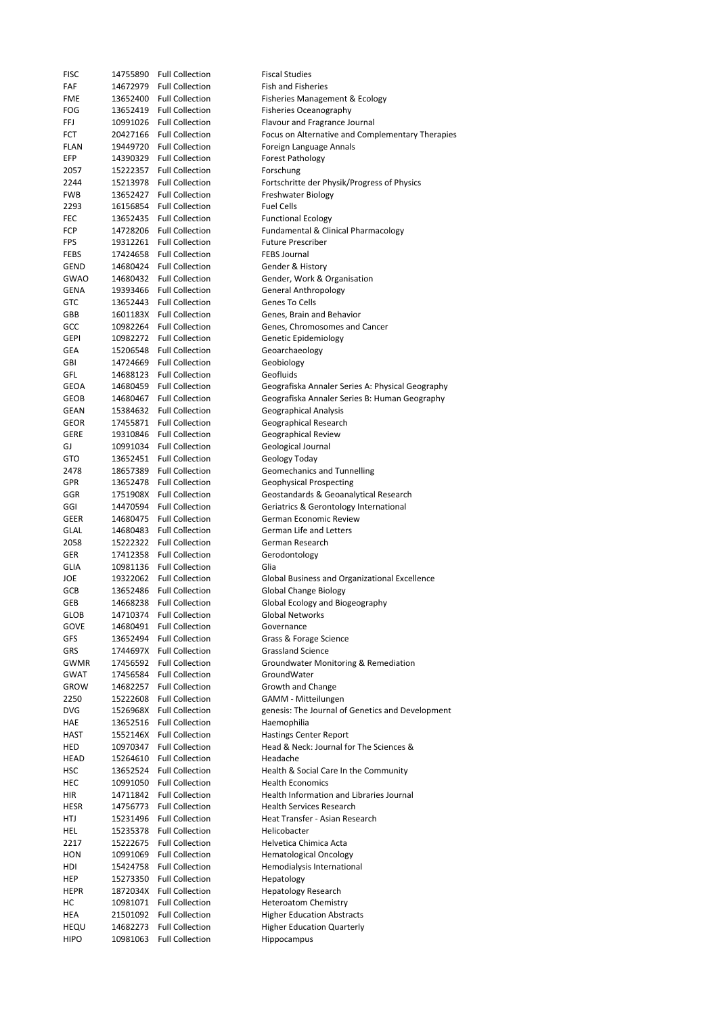| FISC        | 14755890 | <b>Full Collection</b> | <b>Fiscal Studies</b>                            |
|-------------|----------|------------------------|--------------------------------------------------|
| FAF         | 14672979 | <b>Full Collection</b> | <b>Fish and Fisheries</b>                        |
| FME         | 13652400 | <b>Full Collection</b> | Fisheries Management & Ecology                   |
| FOG         | 13652419 | <b>Full Collection</b> | <b>Fisheries Oceanography</b>                    |
| FFJ         | 10991026 | <b>Full Collection</b> | Flavour and Fragrance Journal                    |
| FCT         | 20427166 | <b>Full Collection</b> | Focus on Alternative and Complementary Therapies |
| FLAN        | 19449720 | <b>Full Collection</b> | Foreign Language Annals                          |
| EFP         | 14390329 | <b>Full Collection</b> | <b>Forest Pathology</b>                          |
| 2057        | 15222357 | <b>Full Collection</b> | Forschung                                        |
|             |          | <b>Full Collection</b> |                                                  |
| 2244        | 15213978 |                        | Fortschritte der Physik/Progress of Physics      |
| FWB         | 13652427 | <b>Full Collection</b> | Freshwater Biology                               |
| 2293        | 16156854 | <b>Full Collection</b> | <b>Fuel Cells</b>                                |
| FEC         | 13652435 | <b>Full Collection</b> | <b>Functional Ecology</b>                        |
| FCP         | 14728206 | <b>Full Collection</b> | Fundamental & Clinical Pharmacology              |
| FPS         | 19312261 | <b>Full Collection</b> | <b>Future Prescriber</b>                         |
| FEBS        | 17424658 | <b>Full Collection</b> | <b>FEBS Journal</b>                              |
| GEND        | 14680424 | <b>Full Collection</b> | Gender & History                                 |
| <b>GWAO</b> | 14680432 | <b>Full Collection</b> | Gender, Work & Organisation                      |
| GENA        | 19393466 | <b>Full Collection</b> | <b>General Anthropology</b>                      |
| GTC         | 13652443 | <b>Full Collection</b> | Genes To Cells                                   |
| GBB         | 1601183X | <b>Full Collection</b> | Genes, Brain and Behavior                        |
| GCC         | 10982264 | <b>Full Collection</b> | Genes, Chromosomes and Cancer                    |
| GEPI        | 10982272 | <b>Full Collection</b> | Genetic Epidemiology                             |
| GEA         | 15206548 | <b>Full Collection</b> | Geoarchaeology                                   |
|             |          |                        |                                                  |
| GBI         | 14724669 | <b>Full Collection</b> | Geobiology                                       |
| GFL         | 14688123 | <b>Full Collection</b> | Geofluids                                        |
| GEOA        | 14680459 | <b>Full Collection</b> | Geografiska Annaler Series A: Physical Geography |
| GEOB        | 14680467 | <b>Full Collection</b> | Geografiska Annaler Series B: Human Geography    |
| GEAN        | 15384632 | <b>Full Collection</b> | Geographical Analysis                            |
| GEOR        | 17455871 | <b>Full Collection</b> | Geographical Research                            |
| GERE        | 19310846 | <b>Full Collection</b> | Geographical Review                              |
| GJ          | 10991034 | <b>Full Collection</b> | Geological Journal                               |
| GTO         | 13652451 | <b>Full Collection</b> | Geology Today                                    |
| 2478        | 18657389 | <b>Full Collection</b> | Geomechanics and Tunnelling                      |
| GPR         | 13652478 | <b>Full Collection</b> | <b>Geophysical Prospecting</b>                   |
| GGR         | 1751908X | <b>Full Collection</b> | Geostandards & Geoanalytical Research            |
|             |          |                        |                                                  |
| GGI         | 14470594 | <b>Full Collection</b> | Geriatrics & Gerontology International           |
| GEER        | 14680475 | <b>Full Collection</b> | German Economic Review                           |
| GLAL        | 14680483 | <b>Full Collection</b> | German Life and Letters                          |
| 2058        | 15222322 | <b>Full Collection</b> | German Research                                  |
| GER         | 17412358 | <b>Full Collection</b> | Gerodontology                                    |
| GLIA        | 10981136 | <b>Full Collection</b> | Glia                                             |
| JOE         | 19322062 | <b>Full Collection</b> | Global Business and Organizational Excellence    |
| GCB         | 13652486 | <b>Full Collection</b> | Global Change Biology                            |
| GEB         | 14668238 | <b>Full Collection</b> | Global Ecology and Biogeography                  |
| GLOB        | 14710374 | <b>Full Collection</b> | Global Networks                                  |
| GOVE        | 14680491 | <b>Full Collection</b> | Governance                                       |
| GFS         | 13652494 | <b>Full Collection</b> | Grass & Forage Science                           |
| GRS         | 1744697X | <b>Full Collection</b> | <b>Grassland Science</b>                         |
|             |          | <b>Full Collection</b> | Groundwater Monitoring & Remediation             |
| <b>GWMR</b> | 17456592 |                        |                                                  |
| <b>GWAT</b> | 17456584 | <b>Full Collection</b> | GroundWater                                      |
| <b>GROW</b> | 14682257 | <b>Full Collection</b> | Growth and Change                                |
| 2250        | 15222608 | <b>Full Collection</b> | GAMM - Mitteilungen                              |
| DVG         | 1526968X | <b>Full Collection</b> | genesis: The Journal of Genetics and Development |
| HAE         | 13652516 | <b>Full Collection</b> | Haemophilia                                      |
| HAST        | 1552146X | <b>Full Collection</b> | <b>Hastings Center Report</b>                    |
| HED         | 10970347 | <b>Full Collection</b> | Head & Neck: Journal for The Sciences &          |
| HEAD        | 15264610 | <b>Full Collection</b> | Headache                                         |
| HSC         | 13652524 | <b>Full Collection</b> | Health & Social Care In the Community            |
| HEC         | 10991050 | <b>Full Collection</b> | <b>Health Economics</b>                          |
|             | 14711842 | <b>Full Collection</b> | Health Information and Libraries Journal         |
| HIR         |          | <b>Full Collection</b> | <b>Health Services Research</b>                  |
| HESR        | 14756773 |                        |                                                  |
| HTJ         | 15231496 | <b>Full Collection</b> | Heat Transfer - Asian Research                   |
| HEL         | 15235378 | <b>Full Collection</b> | Helicobacter                                     |
| 2217        | 15222675 | <b>Full Collection</b> | Helvetica Chimica Acta                           |
| HON         | 10991069 | <b>Full Collection</b> | <b>Hematological Oncology</b>                    |
| HDI         | 15424758 | <b>Full Collection</b> | Hemodialysis International                       |
| HEP         | 15273350 | <b>Full Collection</b> | Hepatology                                       |
| HEPR        | 1872034X | <b>Full Collection</b> | <b>Hepatology Research</b>                       |
| нc          | 10981071 | <b>Full Collection</b> | <b>Heteroatom Chemistry</b>                      |
| HEA         | 21501092 | <b>Full Collection</b> | <b>Higher Education Abstracts</b>                |
| HEQU        | 14682273 | <b>Full Collection</b> | <b>Higher Education Quarterly</b>                |
| <b>HIPO</b> | 10981063 | <b>Full Collection</b> | Hippocampus                                      |
|             |          |                        |                                                  |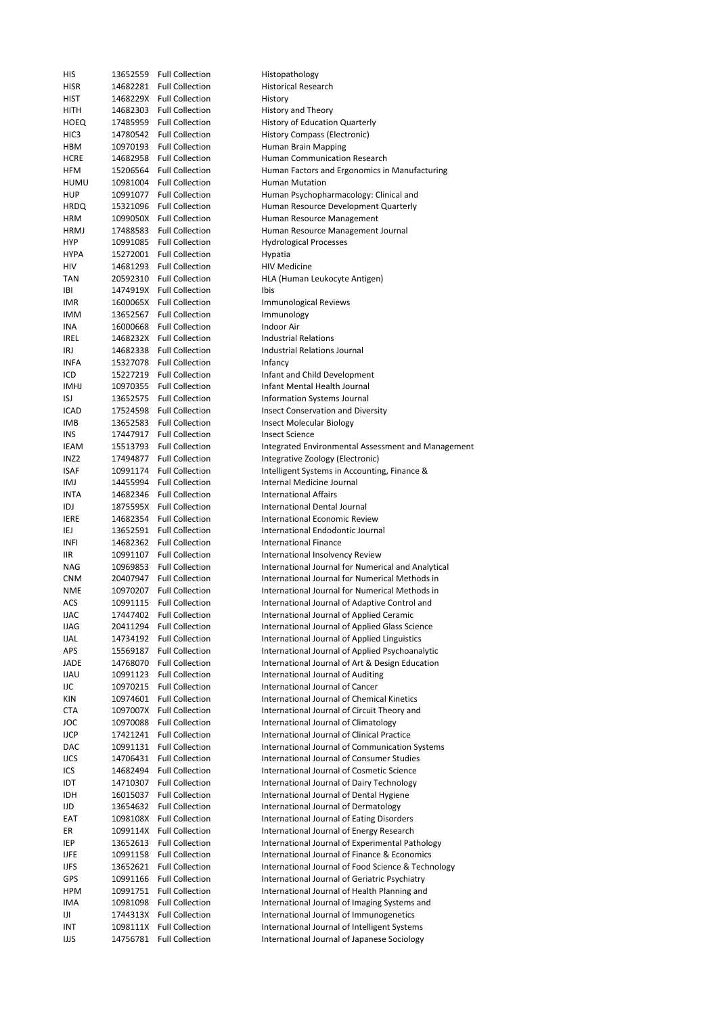| HIS              | 13652559 | <b>Full Collection</b>   | Histopathology                                     |
|------------------|----------|--------------------------|----------------------------------------------------|
| <b>HISR</b>      |          | 14682281 Full Collection | <b>Historical Research</b>                         |
| HIST             | 1468229X | <b>Full Collection</b>   | History                                            |
| HITH             | 14682303 | <b>Full Collection</b>   | History and Theory                                 |
| HOEQ             |          | 17485959 Full Collection | History of Education Quarterly                     |
|                  |          |                          |                                                    |
| HIC <sub>3</sub> | 14780542 | <b>Full Collection</b>   | History Compass (Electronic)                       |
| HBM              | 10970193 | <b>Full Collection</b>   | Human Brain Mapping                                |
| <b>HCRE</b>      |          | 14682958 Full Collection | Human Communication Research                       |
| HFM              | 15206564 | <b>Full Collection</b>   | Human Factors and Ergonomics in Manufacturing      |
| <b>HUMU</b>      | 10981004 | <b>Full Collection</b>   | <b>Human Mutation</b>                              |
| <b>HUP</b>       | 10991077 | <b>Full Collection</b>   | Human Psychopharmacology: Clinical and             |
| <b>HRDQ</b>      | 15321096 | <b>Full Collection</b>   | Human Resource Development Quarterly               |
| <b>HRM</b>       |          | 1099050X Full Collection | Human Resource Management                          |
|                  |          |                          |                                                    |
| <b>HRMJ</b>      |          | 17488583 Full Collection | Human Resource Management Journal                  |
| HYP              | 10991085 | <b>Full Collection</b>   | <b>Hydrological Processes</b>                      |
| <b>HYPA</b>      |          | 15272001 Full Collection | Hypatia                                            |
| HIV              |          | 14681293 Full Collection | <b>HIV Medicine</b>                                |
| TAN              | 20592310 | <b>Full Collection</b>   | HLA (Human Leukocyte Antigen)                      |
| IBI              |          | 1474919X Full Collection | Ibis                                               |
| IMR              |          | 1600065X Full Collection | <b>Immunological Reviews</b>                       |
|                  |          |                          |                                                    |
| <b>IMM</b>       | 13652567 | <b>Full Collection</b>   | Immunology                                         |
| INA              | 16000668 | <b>Full Collection</b>   | Indoor Air                                         |
| IREL             |          | 1468232X Full Collection | Industrial Relations                               |
| IRJ              | 14682338 | <b>Full Collection</b>   | Industrial Relations Journal                       |
| <b>INFA</b>      |          | 15327078 Full Collection | Infancy                                            |
| ICD              |          | 15227219 Full Collection | Infant and Child Development                       |
| <b>IMHJ</b>      | 10970355 | <b>Full Collection</b>   | Infant Mental Health Journal                       |
|                  |          |                          |                                                    |
| ISJ              | 13652575 | <b>Full Collection</b>   | Information Systems Journal                        |
| ICAD             | 17524598 | <b>Full Collection</b>   | <b>Insect Conservation and Diversity</b>           |
| IMB              | 13652583 | <b>Full Collection</b>   | Insect Molecular Biology                           |
| INS              | 17447917 | <b>Full Collection</b>   | <b>Insect Science</b>                              |
| IEAM             | 15513793 | <b>Full Collection</b>   | Integrated Environmental Assessment and Management |
| INZ <sub>2</sub> | 17494877 | <b>Full Collection</b>   | Integrative Zoology (Electronic)                   |
| ISAF             | 10991174 | <b>Full Collection</b>   | Intelligent Systems in Accounting, Finance &       |
|                  |          |                          |                                                    |
| IMJ              | 14455994 | <b>Full Collection</b>   | Internal Medicine Journal                          |
| <b>INTA</b>      | 14682346 | <b>Full Collection</b>   | <b>International Affairs</b>                       |
| IDJ              |          | 1875595X Full Collection | International Dental Journal                       |
| <b>IERE</b>      | 14682354 | <b>Full Collection</b>   | International Economic Review                      |
| IEJ              | 13652591 | <b>Full Collection</b>   | International Endodontic Journal                   |
| INFI             | 14682362 | <b>Full Collection</b>   | <b>International Finance</b>                       |
| IIR              | 10991107 | <b>Full Collection</b>   | International Insolvency Review                    |
|                  |          |                          |                                                    |
| NAG              | 10969853 | <b>Full Collection</b>   | International Journal for Numerical and Analytical |
| <b>CNM</b>       | 20407947 | <b>Full Collection</b>   | International Journal for Numerical Methods in     |
| <b>NME</b>       | 10970207 | <b>Full Collection</b>   | International Journal for Numerical Methods in     |
| ACS              | 10991115 | <b>Full Collection</b>   | International Journal of Adaptive Control and      |
| <b>IJAC</b>      | 17447402 | <b>Full Collection</b>   | International Journal of Applied Ceramic           |
| <b>IJAG</b>      | 20411294 | <b>Full Collection</b>   | International Journal of Applied Glass Science     |
| <b>IJAL</b>      | 14734192 | <b>Full Collection</b>   | International Journal of Applied Linguistics       |
|                  |          |                          |                                                    |
| APS              | 15569187 | <b>Full Collection</b>   | International Journal of Applied Psychoanalytic    |
| JADE             | 14768070 | <b>Full Collection</b>   | International Journal of Art & Design Education    |
| <b>UAU</b>       | 10991123 | <b>Full Collection</b>   | International Journal of Auditing                  |
| IJC              | 10970215 | <b>Full Collection</b>   | International Journal of Cancer                    |
| KIN              | 10974601 | <b>Full Collection</b>   | International Journal of Chemical Kinetics         |
| CTA              | 1097007X | <b>Full Collection</b>   | International Journal of Circuit Theory and        |
| JOC              | 10970088 | <b>Full Collection</b>   | International Journal of Climatology               |
|                  |          |                          |                                                    |
| <b>IJCP</b>      | 17421241 | <b>Full Collection</b>   | International Journal of Clinical Practice         |
| DAC              | 10991131 | <b>Full Collection</b>   | International Journal of Communication Systems     |
| <b>IJCS</b>      | 14706431 | <b>Full Collection</b>   | International Journal of Consumer Studies          |
| ICS              | 14682494 | <b>Full Collection</b>   | International Journal of Cosmetic Science          |
| IDT              | 14710307 | <b>Full Collection</b>   | International Journal of Dairy Technology          |
| IDH              | 16015037 | <b>Full Collection</b>   | International Journal of Dental Hygiene            |
| IJD              | 13654632 | <b>Full Collection</b>   | International Journal of Dermatology               |
|                  |          |                          |                                                    |
| EAT              | 1098108X | <b>Full Collection</b>   | International Journal of Eating Disorders          |
| ER               | 1099114X | <b>Full Collection</b>   | International Journal of Energy Research           |
| IEP              | 13652613 | <b>Full Collection</b>   | International Journal of Experimental Pathology    |
| <b>IJFE</b>      | 10991158 | <b>Full Collection</b>   | International Journal of Finance & Economics       |
| <b>IJFS</b>      | 13652621 | <b>Full Collection</b>   | International Journal of Food Science & Technology |
| GPS              | 10991166 | <b>Full Collection</b>   | International Journal of Geriatric Psychiatry      |
| <b>HPM</b>       | 10991751 | <b>Full Collection</b>   | International Journal of Health Planning and       |
|                  |          |                          |                                                    |
| IMA              | 10981098 | <b>Full Collection</b>   | International Journal of Imaging Systems and       |
| Ш                | 1744313X | <b>Full Collection</b>   | International Journal of Immunogenetics            |
| INT              | 1098111X | <b>Full Collection</b>   | International Journal of Intelligent Systems       |
| IJJS             | 14756781 | <b>Full Collection</b>   | International Journal of Japanese Sociology        |
|                  |          |                          |                                                    |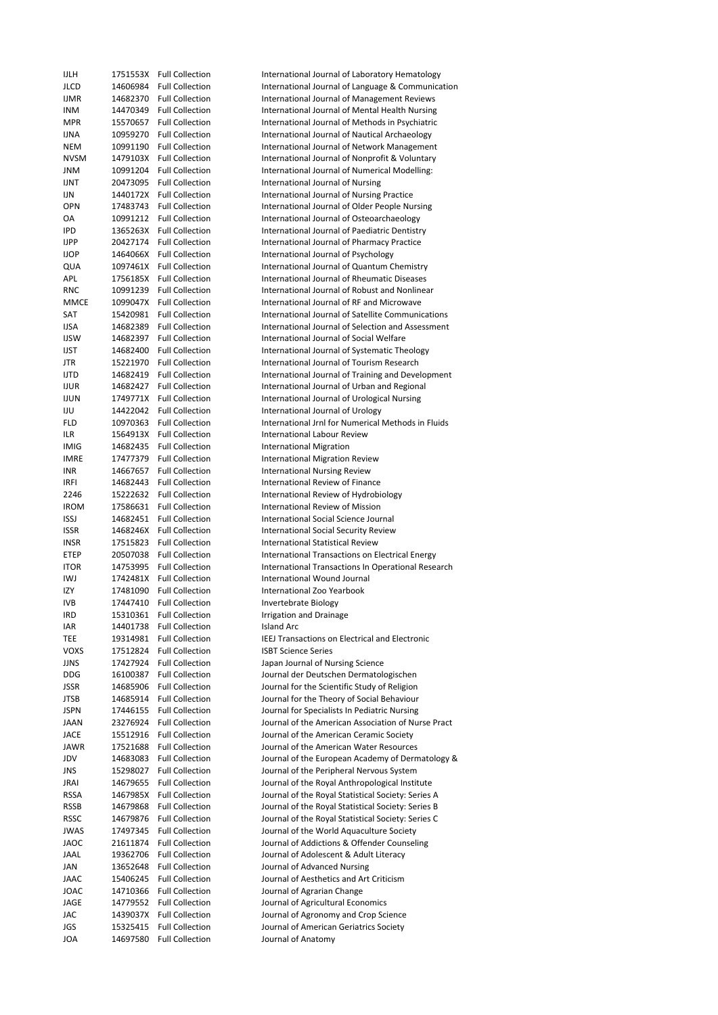| <b>IJLH</b> | 1751553X | <b>Full Collection</b>   | International Journal of Laboratory Hematology     |
|-------------|----------|--------------------------|----------------------------------------------------|
| JLCD        | 14606984 | <b>Full Collection</b>   | International Journal of Language & Communication  |
| <b>IJMR</b> | 14682370 | <b>Full Collection</b>   | International Journal of Management Reviews        |
| <b>INM</b>  | 14470349 | <b>Full Collection</b>   | International Journal of Mental Health Nursing     |
| <b>MPR</b>  | 15570657 | <b>Full Collection</b>   | International Journal of Methods in Psychiatric    |
| IJNA        | 10959270 | <b>Full Collection</b>   | International Journal of Nautical Archaeology      |
| NEM         | 10991190 | <b>Full Collection</b>   | International Journal of Network Management        |
| <b>NVSM</b> | 1479103X | <b>Full Collection</b>   | International Journal of Nonprofit & Voluntary     |
| JNM         | 10991204 | <b>Full Collection</b>   | International Journal of Numerical Modelling:      |
|             |          |                          |                                                    |
| <b>IJNT</b> | 20473095 | <b>Full Collection</b>   | International Journal of Nursing                   |
| IJN         | 1440172X | <b>Full Collection</b>   | International Journal of Nursing Practice          |
| OPN         | 17483743 | <b>Full Collection</b>   | International Journal of Older People Nursing      |
| OA          | 10991212 | <b>Full Collection</b>   | International Journal of Osteoarchaeology          |
| IPD         | 1365263X | <b>Full Collection</b>   | International Journal of Paediatric Dentistry      |
| <b>IJPP</b> | 20427174 | <b>Full Collection</b>   | International Journal of Pharmacy Practice         |
| <b>IJOP</b> | 1464066X | <b>Full Collection</b>   | International Journal of Psychology                |
| QUA         | 1097461X | <b>Full Collection</b>   | International Journal of Quantum Chemistry         |
| APL         |          | 1756185X Full Collection | International Journal of Rheumatic Diseases        |
| <b>RNC</b>  | 10991239 | <b>Full Collection</b>   | International Journal of Robust and Nonlinear      |
| <b>MMCE</b> | 1099047X | <b>Full Collection</b>   | International Journal of RF and Microwave          |
| SAT         | 15420981 | <b>Full Collection</b>   | International Journal of Satellite Communications  |
| <b>IJSA</b> | 14682389 | <b>Full Collection</b>   | International Journal of Selection and Assessment  |
|             |          |                          |                                                    |
| <b>IJSW</b> | 14682397 | <b>Full Collection</b>   | International Journal of Social Welfare            |
| <b>IJST</b> | 14682400 | <b>Full Collection</b>   | International Journal of Systematic Theology       |
| JTR         | 15221970 | <b>Full Collection</b>   | International Journal of Tourism Research          |
| <b>IJTD</b> | 14682419 | <b>Full Collection</b>   | International Journal of Training and Development  |
| <b>IJUR</b> | 14682427 | <b>Full Collection</b>   | International Journal of Urban and Regional        |
| <b>IJUN</b> | 1749771X | <b>Full Collection</b>   | International Journal of Urological Nursing        |
| IJU         | 14422042 | <b>Full Collection</b>   | International Journal of Urology                   |
| FLD         | 10970363 | <b>Full Collection</b>   | International Jrnl for Numerical Methods in Fluids |
| ILR         | 1564913X | <b>Full Collection</b>   | <b>International Labour Review</b>                 |
| <b>IMIG</b> | 14682435 | <b>Full Collection</b>   | <b>International Migration</b>                     |
| <b>IMRE</b> | 17477379 | <b>Full Collection</b>   | <b>International Migration Review</b>              |
| <b>INR</b>  | 14667657 | <b>Full Collection</b>   | <b>International Nursing Review</b>                |
| IRFI        | 14682443 | <b>Full Collection</b>   | International Review of Finance                    |
| 2246        | 15222632 | <b>Full Collection</b>   | International Review of Hydrobiology               |
| <b>IROM</b> | 17586631 | <b>Full Collection</b>   | <b>International Review of Mission</b>             |
| <b>ISSJ</b> | 14682451 | <b>Full Collection</b>   | International Social Science Journal               |
| <b>ISSR</b> | 1468246X | <b>Full Collection</b>   | <b>International Social Security Review</b>        |
| <b>INSR</b> | 17515823 | <b>Full Collection</b>   | <b>International Statistical Review</b>            |
| ETEP        | 20507038 | <b>Full Collection</b>   | International Transactions on Electrical Energy    |
| <b>ITOR</b> | 14753995 | <b>Full Collection</b>   | International Transactions In Operational Research |
| IWJ         | 1742481X | <b>Full Collection</b>   | International Wound Journal                        |
| IZY         | 17481090 | <b>Full Collection</b>   | International Zoo Yearbook                         |
| <b>IVB</b>  | 17447410 | <b>Full Collection</b>   | <b>Invertebrate Biology</b>                        |
|             |          |                          |                                                    |
| IRD         | 15310361 | <b>Full Collection</b>   | Irrigation and Drainage                            |
| IAR         | 14401738 | <b>Full Collection</b>   | Island Arc                                         |
| TEE         | 19314981 | <b>Full Collection</b>   | IEEJ Transactions on Electrical and Electronic     |
| VOXS        | 17512824 | <b>Full Collection</b>   | <b>ISBT Science Series</b>                         |
| JJNS        | 17427924 | <b>Full Collection</b>   | Japan Journal of Nursing Science                   |
| <b>DDG</b>  | 16100387 | <b>Full Collection</b>   | Journal der Deutschen Dermatologischen             |
| <b>JSSR</b> | 14685906 | <b>Full Collection</b>   | Journal for the Scientific Study of Religion       |
| JTSB        | 14685914 | <b>Full Collection</b>   | Journal for the Theory of Social Behaviour         |
| <b>JSPN</b> | 17446155 | <b>Full Collection</b>   | Journal for Specialists In Pediatric Nursing       |
| <b>JAAN</b> | 23276924 | <b>Full Collection</b>   | Journal of the American Association of Nurse Pract |
| <b>JACE</b> | 15512916 | <b>Full Collection</b>   | Journal of the American Ceramic Society            |
| JAWR        | 17521688 | <b>Full Collection</b>   | Journal of the American Water Resources            |
| JDV         | 14683083 | <b>Full Collection</b>   | Journal of the European Academy of Dermatology &   |
| JNS         | 15298027 | <b>Full Collection</b>   | Journal of the Peripheral Nervous System           |
| <b>JRAI</b> | 14679655 | <b>Full Collection</b>   | Journal of the Royal Anthropological Institute     |
| <b>RSSA</b> | 1467985X | <b>Full Collection</b>   | Journal of the Royal Statistical Society: Series A |
| <b>RSSB</b> | 14679868 | <b>Full Collection</b>   | Journal of the Royal Statistical Society: Series B |
| <b>RSSC</b> | 14679876 | <b>Full Collection</b>   | Journal of the Royal Statistical Society: Series C |
| <b>JWAS</b> | 17497345 | <b>Full Collection</b>   | Journal of the World Aquaculture Society           |
| <b>JAOC</b> |          | <b>Full Collection</b>   |                                                    |
|             | 21611874 |                          | Journal of Addictions & Offender Counseling        |
| JAAL        | 19362706 | <b>Full Collection</b>   | Journal of Adolescent & Adult Literacy             |
| JAN         | 13652648 | <b>Full Collection</b>   | Journal of Advanced Nursing                        |
| <b>JAAC</b> | 15406245 | <b>Full Collection</b>   | Journal of Aesthetics and Art Criticism            |
| JOAC        | 14710366 | <b>Full Collection</b>   | Journal of Agrarian Change                         |
| JAGE        | 14779552 | <b>Full Collection</b>   | Journal of Agricultural Economics                  |
| JAC         | 1439037X | <b>Full Collection</b>   | Journal of Agronomy and Crop Science               |
| JGS         | 15325415 | <b>Full Collection</b>   | Journal of American Geriatrics Society             |
| JOA         | 14697580 | <b>Full Collection</b>   | Journal of Anatomy                                 |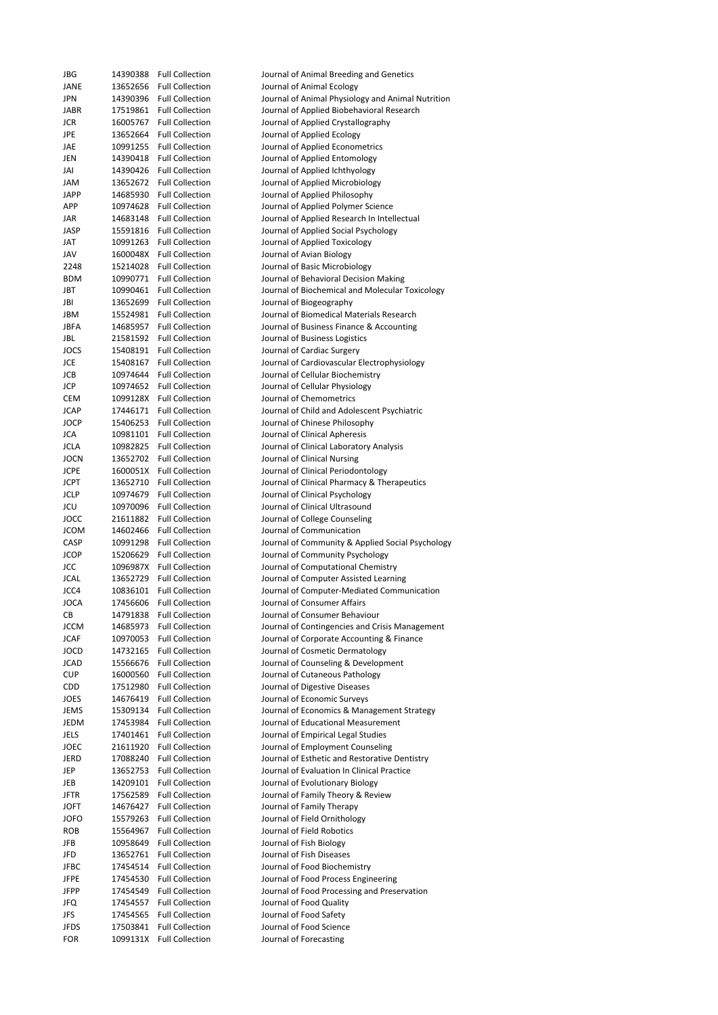| JBG          |          | 14390388 Full Collection                             | Journal of Animal Breeding and Genetics                              |
|--------------|----------|------------------------------------------------------|----------------------------------------------------------------------|
| JANE         |          | 13652656 Full Collection                             | Journal of Animal Ecology                                            |
| JPN          |          | 14390396 Full Collection                             | Journal of Animal Physiology and Animal Nutrition                    |
| JABR         |          | 17519861 Full Collection                             | Journal of Applied Biobehavioral Research                            |
| JCR<br>JPE   |          | 16005767 Full Collection                             | Journal of Applied Crystallography                                   |
| JAE          |          | 13652664 Full Collection<br>10991255 Full Collection | Journal of Applied Ecology                                           |
| JEN          |          | 14390418 Full Collection                             | Journal of Applied Econometrics<br>Journal of Applied Entomology     |
| JAI          |          | 14390426 Full Collection                             | Journal of Applied Ichthyology                                       |
| JAM          |          | 13652672 Full Collection                             | Journal of Applied Microbiology                                      |
| JAPP         |          | 14685930 Full Collection                             | Journal of Applied Philosophy                                        |
| APP          |          | 10974628 Full Collection                             | Journal of Applied Polymer Science                                   |
| JAR          |          | 14683148 Full Collection                             | Journal of Applied Research In Intellectual                          |
| JASP         |          | 15591816 Full Collection                             | Journal of Applied Social Psychology                                 |
| JAT          |          | 10991263 Full Collection                             | Journal of Applied Toxicology                                        |
| JAV          |          | 1600048X Full Collection                             | Journal of Avian Biology                                             |
| 2248         |          | 15214028 Full Collection                             | Journal of Basic Microbiology                                        |
| <b>BDM</b>   |          | 10990771 Full Collection                             | Journal of Behavioral Decision Making                                |
| JBT          |          | 10990461 Full Collection                             | Journal of Biochemical and Molecular Toxicology                      |
| JBI          |          | 13652699 Full Collection                             | Journal of Biogeography                                              |
| JBM          |          | 15524981 Full Collection                             | Journal of Biomedical Materials Research                             |
| JBFA         |          | 14685957 Full Collection                             | Journal of Business Finance & Accounting                             |
| JBL          |          | 21581592 Full Collection                             | Journal of Business Logistics                                        |
| <b>JOCS</b>  |          | 15408191 Full Collection                             | Journal of Cardiac Surgery                                           |
| JCE          |          | 15408167 Full Collection                             | Journal of Cardiovascular Electrophysiology                          |
| JCB          |          | 10974644 Full Collection                             | Journal of Cellular Biochemistry                                     |
| JCP          |          | 10974652 Full Collection                             | Journal of Cellular Physiology                                       |
| CEM          |          | 1099128X Full Collection                             | Journal of Chemometrics                                              |
| JCAP         |          | 17446171 Full Collection                             | Journal of Child and Adolescent Psychiatric                          |
| JOCP         |          | 15406253 Full Collection                             | Journal of Chinese Philosophy                                        |
| JCA          |          | 10981101 Full Collection                             | Journal of Clinical Apheresis                                        |
| JCLA         |          | 10982825 Full Collection                             | Journal of Clinical Laboratory Analysis                              |
| JOCN         |          | 13652702 Full Collection                             | Journal of Clinical Nursing                                          |
| <b>JCPE</b>  |          | 1600051X Full Collection                             | Journal of Clinical Periodontology                                   |
| JCPT<br>JCLP |          | 13652710 Full Collection<br>10974679 Full Collection | Journal of Clinical Pharmacy & Therapeutics                          |
| JCU          |          | 10970096 Full Collection                             | Journal of Clinical Psychology<br>Journal of Clinical Ultrasound     |
| JOCC         |          | 21611882 Full Collection                             | Journal of College Counseling                                        |
| <b>JCOM</b>  |          | 14602466 Full Collection                             | Journal of Communication                                             |
| CASP         |          | 10991298 Full Collection                             | Journal of Community & Applied Social Psychology                     |
| <b>JCOP</b>  |          | 15206629 Full Collection                             | Journal of Community Psychology                                      |
| <b>JCC</b>   |          | 1096987X Full Collection                             | Journal of Computational Chemistry                                   |
| <b>JCAL</b>  |          | 13652729 Full Collection                             | Journal of Computer Assisted Learning                                |
| JCC4         |          | 10836101 Full Collection                             | Journal of Computer-Mediated Communication                           |
| JOCA         |          | 17456606 Full Collection                             | Journal of Consumer Affairs                                          |
| CВ           |          | 14791838 Full Collection                             | Journal of Consumer Behaviour                                        |
| JCCM         |          | 14685973 Full Collection                             | Journal of Contingencies and Crisis Management                       |
| JCAF         |          | 10970053 Full Collection                             | Journal of Corporate Accounting & Finance                            |
| <b>JOCD</b>  |          | 14732165 Full Collection                             | Journal of Cosmetic Dermatology                                      |
| <b>JCAD</b>  |          | 15566676 Full Collection                             | Journal of Counseling & Development                                  |
| <b>CUP</b>   |          | 16000560 Full Collection                             | Journal of Cutaneous Pathology                                       |
| CDD          | 17512980 | <b>Full Collection</b>                               | Journal of Digestive Diseases                                        |
| JOES         |          | 14676419 Full Collection                             | Journal of Economic Surveys                                          |
| JEMS         |          | 15309134 Full Collection                             | Journal of Economics & Management Strategy                           |
| JEDM         |          | 17453984 Full Collection                             | Journal of Educational Measurement                                   |
| JELS         |          | 17401461 Full Collection                             | Journal of Empirical Legal Studies                                   |
| JOEC         |          | 21611920 Full Collection                             | Journal of Employment Counseling                                     |
| JERD         |          | 17088240 Full Collection                             | Journal of Esthetic and Restorative Dentistry                        |
| JEP          |          | 13652753 Full Collection                             | Journal of Evaluation In Clinical Practice                           |
| JEB          |          | 14209101 Full Collection<br>17562589 Full Collection | Journal of Evolutionary Biology<br>Journal of Family Theory & Review |
| JFTR<br>JOFT |          | 14676427 Full Collection                             | Journal of Family Therapy                                            |
| JOFO         |          | 15579263 Full Collection                             | Journal of Field Ornithology                                         |
| ROB          |          | 15564967 Full Collection                             | Journal of Field Robotics                                            |
| JFB          |          | 10958649 Full Collection                             | Journal of Fish Biology                                              |
| JFD          |          | 13652761 Full Collection                             | Journal of Fish Diseases                                             |
| JFBC         |          | 17454514 Full Collection                             | Journal of Food Biochemistry                                         |
| JFPE         |          | 17454530 Full Collection                             | Journal of Food Process Engineering                                  |
| JFPP         |          | 17454549 Full Collection                             | Journal of Food Processing and Preservation                          |
| JFQ          |          | 17454557 Full Collection                             | Journal of Food Quality                                              |
| JFS          | 17454565 | <b>Full Collection</b>                               | Journal of Food Safety                                               |
|              |          |                                                      |                                                                      |
| JFDS         |          | 17503841 Full Collection                             | Journal of Food Science                                              |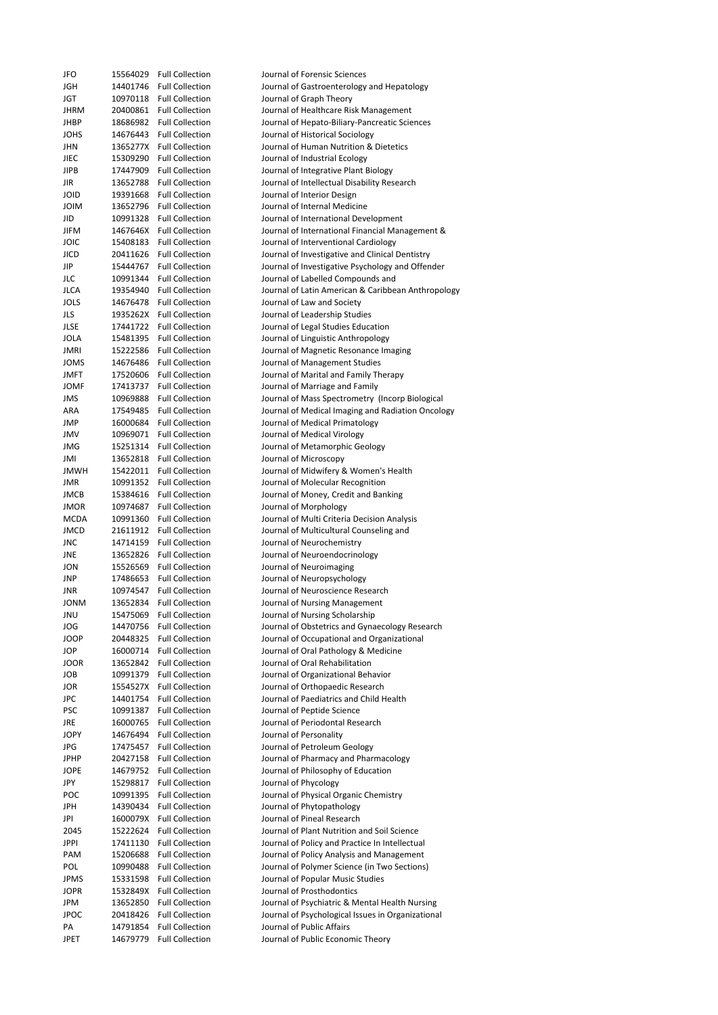| JFO         | 15564029 | <b>Full Collection</b> | Journal of Forensic Sciences                       |
|-------------|----------|------------------------|----------------------------------------------------|
| JGH         | 14401746 | <b>Full Collection</b> | Journal of Gastroenterology and Hepatology         |
| JGT         | 10970118 | <b>Full Collection</b> | Journal of Graph Theory                            |
| JHRM        | 20400861 | <b>Full Collection</b> | Journal of Healthcare Risk Management              |
| JHBP        | 18686982 | <b>Full Collection</b> | Journal of Hepato-Biliary-Pancreatic Sciences      |
| JOHS        | 14676443 | <b>Full Collection</b> | Journal of Historical Sociology                    |
| JHN         | 1365277X | <b>Full Collection</b> | Journal of Human Nutrition & Dietetics             |
| JIEC        | 15309290 | <b>Full Collection</b> | Journal of Industrial Ecology                      |
| JIPB        | 17447909 | <b>Full Collection</b> | Journal of Integrative Plant Biology               |
| JIR         | 13652788 | <b>Full Collection</b> | Journal of Intellectual Disability Research        |
| JOID        | 19391668 | <b>Full Collection</b> | Journal of Interior Design                         |
| <b>MIOL</b> | 13652796 | <b>Full Collection</b> | Journal of Internal Medicine                       |
| JID         | 10991328 | <b>Full Collection</b> | Journal of International Development               |
| <b>JIFM</b> | 1467646X | <b>Full Collection</b> | Journal of International Financial Management &    |
|             |          |                        |                                                    |
| JOIC        | 15408183 | <b>Full Collection</b> | Journal of Interventional Cardiology               |
| JICD        | 20411626 | <b>Full Collection</b> | Journal of Investigative and Clinical Dentistry    |
| JIP         | 15444767 | <b>Full Collection</b> | Journal of Investigative Psychology and Offender   |
| JLC         | 10991344 | <b>Full Collection</b> | Journal of Labelled Compounds and                  |
| JLCA        | 19354940 | <b>Full Collection</b> | Journal of Latin American & Caribbean Anthropology |
| JOLS        | 14676478 | <b>Full Collection</b> | Journal of Law and Society                         |
| JLS         | 1935262X | <b>Full Collection</b> | Journal of Leadership Studies                      |
| JLSE        | 17441722 | <b>Full Collection</b> | Journal of Legal Studies Education                 |
| JOLA        | 15481395 | <b>Full Collection</b> | Journal of Linguistic Anthropology                 |
| JMRI        | 15222586 | <b>Full Collection</b> | Journal of Magnetic Resonance Imaging              |
| JOMS        | 14676486 | <b>Full Collection</b> | Journal of Management Studies                      |
| JMFT        | 17520606 | <b>Full Collection</b> | Journal of Marital and Family Therapy              |
|             |          | <b>Full Collection</b> |                                                    |
| JOMF        | 17413737 |                        | Journal of Marriage and Family                     |
| <b>JMS</b>  | 10969888 | <b>Full Collection</b> | Journal of Mass Spectrometry (Incorp Biological    |
| ARA         | 17549485 | <b>Full Collection</b> | Journal of Medical Imaging and Radiation Oncology  |
| JMP         | 16000684 | <b>Full Collection</b> | Journal of Medical Primatology                     |
| JMV         | 10969071 | <b>Full Collection</b> | Journal of Medical Virology                        |
| JMG         | 15251314 | <b>Full Collection</b> | Journal of Metamorphic Geology                     |
| IML         | 13652818 | <b>Full Collection</b> | Journal of Microscopy                              |
| <b>JMWH</b> | 15422011 | <b>Full Collection</b> | Journal of Midwifery & Women's Health              |
| JMR         | 10991352 | <b>Full Collection</b> | Journal of Molecular Recognition                   |
| JMCB        | 15384616 | <b>Full Collection</b> | Journal of Money, Credit and Banking               |
| JMOR        | 10974687 | <b>Full Collection</b> |                                                    |
|             |          |                        | Journal of Morphology                              |
| MCDA        | 10991360 | <b>Full Collection</b> | Journal of Multi Criteria Decision Analysis        |
| JMCD        | 21611912 | <b>Full Collection</b> | Journal of Multicultural Counseling and            |
| JNC         | 14714159 | <b>Full Collection</b> | Journal of Neurochemistry                          |
| JNE         | 13652826 | <b>Full Collection</b> | Journal of Neuroendocrinology                      |
| JON         | 15526569 | <b>Full Collection</b> | Journal of Neuroimaging                            |
| JNP         | 17486653 | <b>Full Collection</b> | Journal of Neuropsychology                         |
| JNR         | 10974547 | <b>Full Collection</b> | Journal of Neuroscience Research                   |
| <b>JONM</b> | 13652834 | <b>Full Collection</b> | Journal of Nursing Management                      |
| JNU         | 15475069 | <b>Full Collection</b> | Journal of Nursing Scholarship                     |
| JOG         | 14470756 | <b>Full Collection</b> | Journal of Obstetrics and Gynaecology Research     |
| JOOP        |          |                        |                                                    |
|             | 20448325 | <b>Full Collection</b> | Journal of Occupational and Organizational         |
| JOP         | 16000714 | <b>Full Collection</b> | Journal of Oral Pathology & Medicine               |
| JOOR        | 13652842 | <b>Full Collection</b> | Journal of Oral Rehabilitation                     |
| JOB         | 10991379 | <b>Full Collection</b> | Journal of Organizational Behavior                 |
| JOR         | 1554527X | <b>Full Collection</b> | Journal of Orthopaedic Research                    |
| JPC         | 14401754 | <b>Full Collection</b> | Journal of Paediatrics and Child Health            |
| <b>PSC</b>  | 10991387 | <b>Full Collection</b> | Journal of Peptide Science                         |
| JRE         | 16000765 | <b>Full Collection</b> | Journal of Periodontal Research                    |
| <b>JOPY</b> | 14676494 | <b>Full Collection</b> | Journal of Personality                             |
| JPG         | 17475457 | <b>Full Collection</b> | Journal of Petroleum Geology                       |
| JPHP        | 20427158 | <b>Full Collection</b> | Journal of Pharmacy and Pharmacology               |
| JOPE        | 14679752 | <b>Full Collection</b> | Journal of Philosophy of Education                 |
|             |          |                        |                                                    |
| JPY         | 15298817 | <b>Full Collection</b> | Journal of Phycology                               |
| POC         | 10991395 | <b>Full Collection</b> | Journal of Physical Organic Chemistry              |
| JPH         | 14390434 | <b>Full Collection</b> | Journal of Phytopathology                          |
| JPI         | 1600079X | <b>Full Collection</b> | Journal of Pineal Research                         |
| 2045        | 15222624 | <b>Full Collection</b> | Journal of Plant Nutrition and Soil Science        |
| JPPI        | 17411130 | <b>Full Collection</b> | Journal of Policy and Practice In Intellectual     |
| PAM         | 15206688 | <b>Full Collection</b> | Journal of Policy Analysis and Management          |
| POL         | 10990488 | <b>Full Collection</b> | Journal of Polymer Science (in Two Sections)       |
| JPMS        | 15331598 | <b>Full Collection</b> | Journal of Popular Music Studies                   |
| JOPR        | 1532849X | <b>Full Collection</b> | Journal of Prosthodontics                          |
| JPM         | 13652850 | <b>Full Collection</b> | Journal of Psychiatric & Mental Health Nursing     |
| <b>JPOC</b> | 20418426 | <b>Full Collection</b> | Journal of Psychological Issues in Organizational  |
|             |          |                        |                                                    |
| PA          | 14791854 | <b>Full Collection</b> | Journal of Public Affairs                          |
| <b>JPET</b> | 14679779 | <b>Full Collection</b> | Journal of Public Economic Theory                  |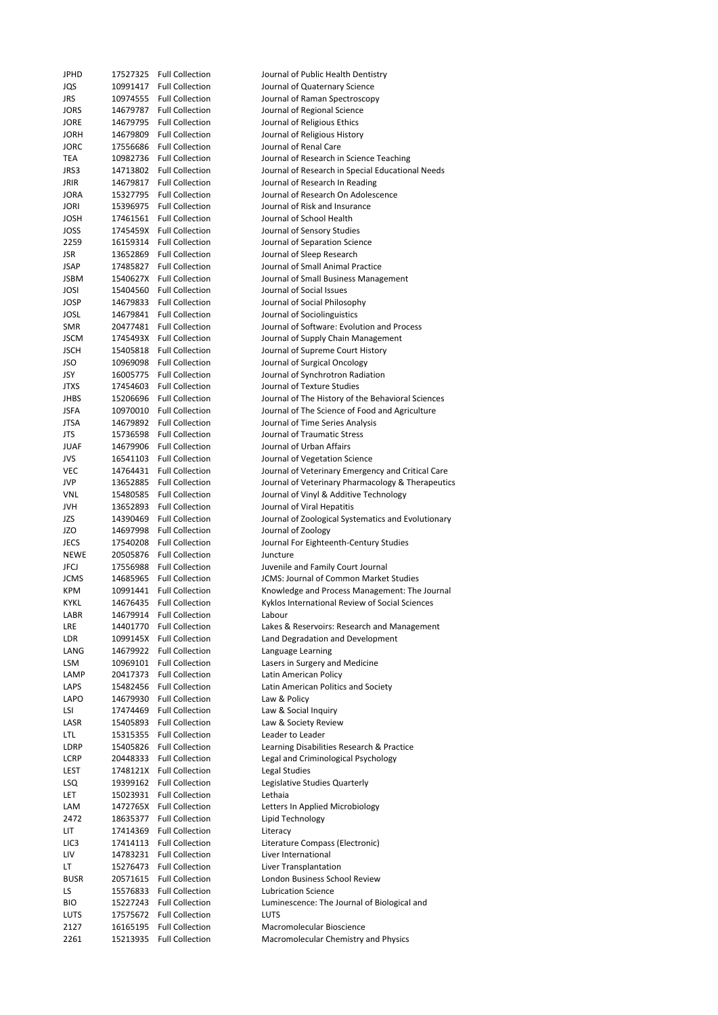| JPHD             | 17527325             | <b>Full Collection</b>   | Journal of Public Health Dentistry                                |
|------------------|----------------------|--------------------------|-------------------------------------------------------------------|
| JQS              | 10991417             | <b>Full Collection</b>   | Journal of Quaternary Science                                     |
| JRS              | 10974555             | <b>Full Collection</b>   | Journal of Raman Spectroscopy                                     |
| JORS             | 14679787             | <b>Full Collection</b>   | Journal of Regional Science                                       |
| <b>JORE</b>      |                      | <b>Full Collection</b>   |                                                                   |
|                  | 14679795             |                          | Journal of Religious Ethics                                       |
| <b>JORH</b>      | 14679809             | <b>Full Collection</b>   | Journal of Religious History                                      |
| <b>JORC</b>      | 17556686             | <b>Full Collection</b>   | Journal of Renal Care                                             |
| TEA              | 10982736             | <b>Full Collection</b>   | Journal of Research in Science Teaching                           |
| JRS3             | 14713802             | <b>Full Collection</b>   | Journal of Research in Special Educational Needs                  |
| JRIR             | 14679817             | <b>Full Collection</b>   | Journal of Research In Reading                                    |
| JORA             | 15327795             | <b>Full Collection</b>   | Journal of Research On Adolescence                                |
|                  |                      |                          |                                                                   |
| <b>JORI</b>      | 15396975             | <b>Full Collection</b>   | Journal of Risk and Insurance                                     |
| <b>JOSH</b>      | 17461561             | <b>Full Collection</b>   | Journal of School Health                                          |
| JOSS             |                      | 1745459X Full Collection | Journal of Sensory Studies                                        |
| 2259             |                      | 16159314 Full Collection | Journal of Separation Science                                     |
| JSR              | 13652869             | <b>Full Collection</b>   | Journal of Sleep Research                                         |
| JSAP             | 17485827             | <b>Full Collection</b>   | Journal of Small Animal Practice                                  |
|                  |                      |                          |                                                                   |
| JSBM             |                      | 1540627X Full Collection | Journal of Small Business Management                              |
| JOSI             | 15404560             | <b>Full Collection</b>   | Journal of Social Issues                                          |
| JOSP             | 14679833             | <b>Full Collection</b>   | Journal of Social Philosophy                                      |
| JOSL             | 14679841             | <b>Full Collection</b>   | Journal of Sociolinguistics                                       |
| <b>SMR</b>       | 20477481             | <b>Full Collection</b>   | Journal of Software: Evolution and Process                        |
| <b>JSCM</b>      |                      | 1745493X Full Collection |                                                                   |
|                  |                      |                          | Journal of Supply Chain Management                                |
| JSCH             | 15405818             | <b>Full Collection</b>   | Journal of Supreme Court History                                  |
| JSO              | 10969098             | <b>Full Collection</b>   | Journal of Surgical Oncology                                      |
| JSY              | 16005775             | <b>Full Collection</b>   | Journal of Synchrotron Radiation                                  |
| JTXS             | 17454603             | <b>Full Collection</b>   | Journal of Texture Studies                                        |
| JHBS             | 15206696             | <b>Full Collection</b>   | Journal of The History of the Behavioral Sciences                 |
| <b>JSFA</b>      | 10970010             | <b>Full Collection</b>   |                                                                   |
|                  |                      |                          | Journal of The Science of Food and Agriculture                    |
| <b>JTSA</b>      | 14679892             | <b>Full Collection</b>   | Journal of Time Series Analysis                                   |
| JTS              | 15736598             | <b>Full Collection</b>   | Journal of Traumatic Stress                                       |
| JUAF             | 14679906             | <b>Full Collection</b>   | Journal of Urban Affairs                                          |
| JVS              | 16541103             | <b>Full Collection</b>   | Journal of Vegetation Science                                     |
| VEC              | 14764431             | <b>Full Collection</b>   | Journal of Veterinary Emergency and Critical Care                 |
| JVP              | 13652885             | <b>Full Collection</b>   | Journal of Veterinary Pharmacology & Therapeutics                 |
|                  |                      |                          | Journal of Vinyl & Additive Technology                            |
| VNL              | 15480585             | <b>Full Collection</b>   |                                                                   |
|                  |                      |                          |                                                                   |
| JVH              | 13652893             | <b>Full Collection</b>   | Journal of Viral Hepatitis                                        |
| JZS              | 14390469             | <b>Full Collection</b>   | Journal of Zoological Systematics and Evolutionary                |
| JZO              | 14697998             | <b>Full Collection</b>   | Journal of Zoology                                                |
|                  |                      | <b>Full Collection</b>   |                                                                   |
| JECS             | 17540208             |                          | Journal For Eighteenth-Century Studies                            |
| <b>NEWE</b>      | 20505876             | <b>Full Collection</b>   | Juncture                                                          |
| <b>JFCJ</b>      | 17556988             | <b>Full Collection</b>   | Juvenile and Family Court Journal                                 |
| <b>JCMS</b>      | 14685965             | <b>Full Collection</b>   | JCMS: Journal of Common Market Studies                            |
| <b>KPM</b>       | 10991441             | <b>Full Collection</b>   | Knowledge and Process Management: The Journal                     |
| <b>KYKL</b>      | 14676435             | <b>Full Collection</b>   | Kyklos International Review of Social Sciences                    |
| LABR             |                      |                          |                                                                   |
|                  | 14679914             | <b>Full Collection</b>   | Labour                                                            |
| LRE              | 14401770             | <b>Full Collection</b>   | Lakes & Reservoirs: Research and Management                       |
| LDR              | 1099145X             | <b>Full Collection</b>   | Land Degradation and Development                                  |
| LANG             | 14679922             | <b>Full Collection</b>   | Language Learning                                                 |
| LSM              | 10969101             | <b>Full Collection</b>   | Lasers in Surgery and Medicine                                    |
| LAMP             | 20417373             | <b>Full Collection</b>   | Latin American Policy                                             |
| LAPS             | 15482456             | <b>Full Collection</b>   | Latin American Politics and Society                               |
|                  |                      |                          |                                                                   |
| LAPO             | 14679930             | <b>Full Collection</b>   | Law & Policy                                                      |
| LSI              | 17474469             | <b>Full Collection</b>   | Law & Social Inquiry                                              |
| LASR             | 15405893             | <b>Full Collection</b>   | Law & Society Review                                              |
| LTL              | 15315355             | <b>Full Collection</b>   | Leader to Leader                                                  |
| LDRP             | 15405826             | <b>Full Collection</b>   | Learning Disabilities Research & Practice                         |
| LCRP             | 20448333             | <b>Full Collection</b>   | Legal and Criminological Psychology                               |
|                  |                      |                          |                                                                   |
| LEST             | 1748121X             | <b>Full Collection</b>   | Legal Studies                                                     |
| LSQ              | 19399162             | <b>Full Collection</b>   | Legislative Studies Quarterly                                     |
| LET              | 15023931             | <b>Full Collection</b>   | Lethaia                                                           |
| LAM              | 1472765X             | <b>Full Collection</b>   | Letters In Applied Microbiology                                   |
| 2472             | 18635377             | <b>Full Collection</b>   | Lipid Technology                                                  |
| LIT              | 17414369             | <b>Full Collection</b>   | Literacy                                                          |
|                  |                      |                          |                                                                   |
| LIC <sub>3</sub> | 17414113             | <b>Full Collection</b>   | Literature Compass (Electronic)                                   |
| LIV              | 14783231             | <b>Full Collection</b>   | Liver International                                               |
| LT.              | 15276473             | <b>Full Collection</b>   | Liver Transplantation                                             |
| <b>BUSR</b>      | 20571615             | <b>Full Collection</b>   | London Business School Review                                     |
| LS               | 15576833             | <b>Full Collection</b>   | <b>Lubrication Science</b>                                        |
| BIO              | 15227243             | <b>Full Collection</b>   | Luminescence: The Journal of Biological and                       |
| LUTS             | 17575672             | <b>Full Collection</b>   | <b>LUTS</b>                                                       |
|                  |                      | <b>Full Collection</b>   |                                                                   |
| 2127<br>2261     | 16165195<br>15213935 | <b>Full Collection</b>   | Macromolecular Bioscience<br>Macromolecular Chemistry and Physics |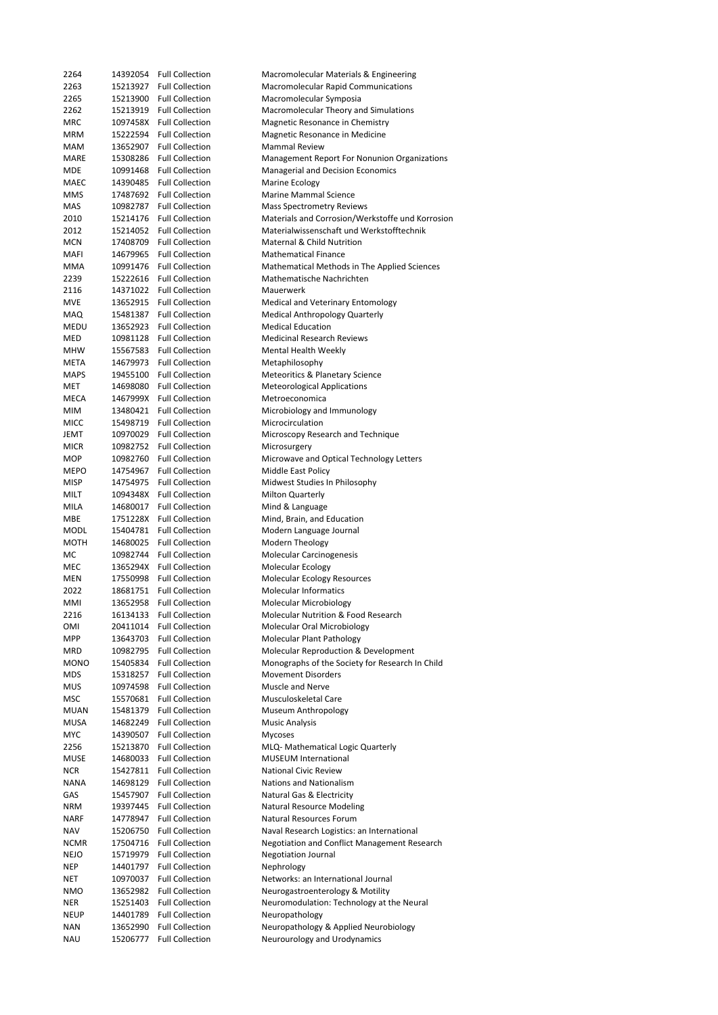| 2264        | 14392054 | <b>Full Collection</b>   | Macromolecular Materials & Engineering           |
|-------------|----------|--------------------------|--------------------------------------------------|
| 2263        | 15213927 | <b>Full Collection</b>   | Macromolecular Rapid Communications              |
| 2265        | 15213900 | <b>Full Collection</b>   | Macromolecular Symposia                          |
| 2262        | 15213919 | <b>Full Collection</b>   | Macromolecular Theory and Simulations            |
| MRC         |          | 1097458X Full Collection | Magnetic Resonance in Chemistry                  |
| MRM         | 15222594 | <b>Full Collection</b>   | Magnetic Resonance in Medicine                   |
| MAM         | 13652907 | <b>Full Collection</b>   | <b>Mammal Review</b>                             |
|             |          |                          |                                                  |
| MARE        | 15308286 | <b>Full Collection</b>   | Management Report For Nonunion Organizations     |
| MDE         | 10991468 | <b>Full Collection</b>   | Managerial and Decision Economics                |
| MAEC        | 14390485 | <b>Full Collection</b>   | Marine Ecology                                   |
| <b>MMS</b>  | 17487692 | <b>Full Collection</b>   | <b>Marine Mammal Science</b>                     |
| MAS         | 10982787 | <b>Full Collection</b>   | <b>Mass Spectrometry Reviews</b>                 |
| 2010        | 15214176 | <b>Full Collection</b>   | Materials and Corrosion/Werkstoffe und Korrosion |
| 2012        | 15214052 | <b>Full Collection</b>   | Materialwissenschaft und Werkstofftechnik        |
|             |          |                          |                                                  |
| <b>MCN</b>  | 17408709 | <b>Full Collection</b>   | <b>Maternal &amp; Child Nutrition</b>            |
| MAFI        | 14679965 | <b>Full Collection</b>   | <b>Mathematical Finance</b>                      |
| MMA         | 10991476 | <b>Full Collection</b>   | Mathematical Methods in The Applied Sciences     |
| 2239        | 15222616 | <b>Full Collection</b>   | Mathematische Nachrichten                        |
| 2116        | 14371022 | <b>Full Collection</b>   | Mauerwerk                                        |
| <b>MVE</b>  | 13652915 | <b>Full Collection</b>   | Medical and Veterinary Entomology                |
| <b>MAQ</b>  | 15481387 | <b>Full Collection</b>   | Medical Anthropology Quarterly                   |
|             |          | <b>Full Collection</b>   | <b>Medical Education</b>                         |
| MEDU        | 13652923 |                          |                                                  |
| MED         |          | 10981128 Full Collection | <b>Medicinal Research Reviews</b>                |
| <b>MHW</b>  | 15567583 | <b>Full Collection</b>   | Mental Health Weekly                             |
| META        | 14679973 | <b>Full Collection</b>   | Metaphilosophy                                   |
| <b>MAPS</b> | 19455100 | <b>Full Collection</b>   | Meteoritics & Planetary Science                  |
| MET         | 14698080 | <b>Full Collection</b>   | <b>Meteorological Applications</b>               |
| MECA        | 1467999X | <b>Full Collection</b>   | Metroeconomica                                   |
|             |          |                          |                                                  |
| MIM         | 13480421 | <b>Full Collection</b>   | Microbiology and Immunology                      |
| <b>MICC</b> | 15498719 | <b>Full Collection</b>   | Microcirculation                                 |
| JEMT        | 10970029 | <b>Full Collection</b>   | Microscopy Research and Technique                |
| <b>MICR</b> | 10982752 | <b>Full Collection</b>   | Microsurgery                                     |
| MOP         | 10982760 | <b>Full Collection</b>   | Microwave and Optical Technology Letters         |
| MEPO        | 14754967 | <b>Full Collection</b>   | Middle East Policy                               |
| <b>MISP</b> | 14754975 | <b>Full Collection</b>   | Midwest Studies In Philosophy                    |
|             |          |                          |                                                  |
| MILT        | 1094348X | <b>Full Collection</b>   | <b>Milton Quarterly</b>                          |
| MILA        | 14680017 | <b>Full Collection</b>   | Mind & Language                                  |
| MBE         | 1751228X | <b>Full Collection</b>   | Mind, Brain, and Education                       |
| MODL        | 15404781 | <b>Full Collection</b>   | Modern Language Journal                          |
| MOTH        | 14680025 | <b>Full Collection</b>   | Modern Theology                                  |
| МC          | 10982744 | <b>Full Collection</b>   | Molecular Carcinogenesis                         |
| MEC         | 1365294X | <b>Full Collection</b>   | Molecular Ecology                                |
|             |          | <b>Full Collection</b>   |                                                  |
| MEN         | 17550998 |                          | Molecular Ecology Resources                      |
| 2022        | 18681751 | <b>Full Collection</b>   | <b>Molecular Informatics</b>                     |
| MMI         |          | 13652958 Full Collection | Molecular Microbiology                           |
| 2216        | 16134133 | <b>Full Collection</b>   | Molecular Nutrition & Food Research              |
| OMI         | 20411014 | <b>Full Collection</b>   | Molecular Oral Microbiology                      |
| MPP         | 13643703 | <b>Full Collection</b>   | Molecular Plant Pathology                        |
| <b>MRD</b>  | 10982795 | <b>Full Collection</b>   | Molecular Reproduction & Development             |
|             |          |                          |                                                  |
| <b>MONO</b> | 15405834 | <b>Full Collection</b>   | Monographs of the Society for Research In Child  |
| <b>MDS</b>  | 15318257 | <b>Full Collection</b>   | <b>Movement Disorders</b>                        |
| <b>MUS</b>  | 10974598 | <b>Full Collection</b>   | Muscle and Nerve                                 |
| <b>MSC</b>  | 15570681 | <b>Full Collection</b>   | Musculoskeletal Care                             |
| <b>MUAN</b> | 15481379 | <b>Full Collection</b>   | Museum Anthropology                              |
| <b>MUSA</b> | 14682249 | <b>Full Collection</b>   | <b>Music Analysis</b>                            |
| <b>MYC</b>  | 14390507 | <b>Full Collection</b>   | Mycoses                                          |
|             |          |                          |                                                  |
| 2256        | 15213870 | <b>Full Collection</b>   | MLQ- Mathematical Logic Quarterly                |
| MUSE        | 14680033 | <b>Full Collection</b>   | <b>MUSEUM International</b>                      |
| <b>NCR</b>  | 15427811 | <b>Full Collection</b>   | National Civic Review                            |
| <b>NANA</b> | 14698129 | <b>Full Collection</b>   | Nations and Nationalism                          |
| GAS         | 15457907 | <b>Full Collection</b>   | Natural Gas & Electricity                        |
| NRM         | 19397445 | <b>Full Collection</b>   | <b>Natural Resource Modeling</b>                 |
|             |          |                          |                                                  |
| NARF        | 14778947 | <b>Full Collection</b>   | Natural Resources Forum                          |
| NAV         | 15206750 | <b>Full Collection</b>   | Naval Research Logistics: an International       |
| <b>NCMR</b> | 17504716 | <b>Full Collection</b>   | Negotiation and Conflict Management Research     |
| NEJO        | 15719979 | <b>Full Collection</b>   | <b>Negotiation Journal</b>                       |
| <b>NEP</b>  | 14401797 | <b>Full Collection</b>   | Nephrology                                       |
| NET         | 10970037 | <b>Full Collection</b>   | Networks: an International Journal               |
|             |          | <b>Full Collection</b>   |                                                  |
| <b>NMO</b>  | 13652982 |                          | Neurogastroenterology & Motility                 |
| NER         | 15251403 | <b>Full Collection</b>   | Neuromodulation: Technology at the Neural        |
| <b>NEUP</b> | 14401789 | <b>Full Collection</b>   | Neuropathology                                   |
| <b>NAN</b>  | 13652990 | <b>Full Collection</b>   | Neuropathology & Applied Neurobiology            |
| NAU         | 15206777 | <b>Full Collection</b>   | Neurourology and Urodynamics                     |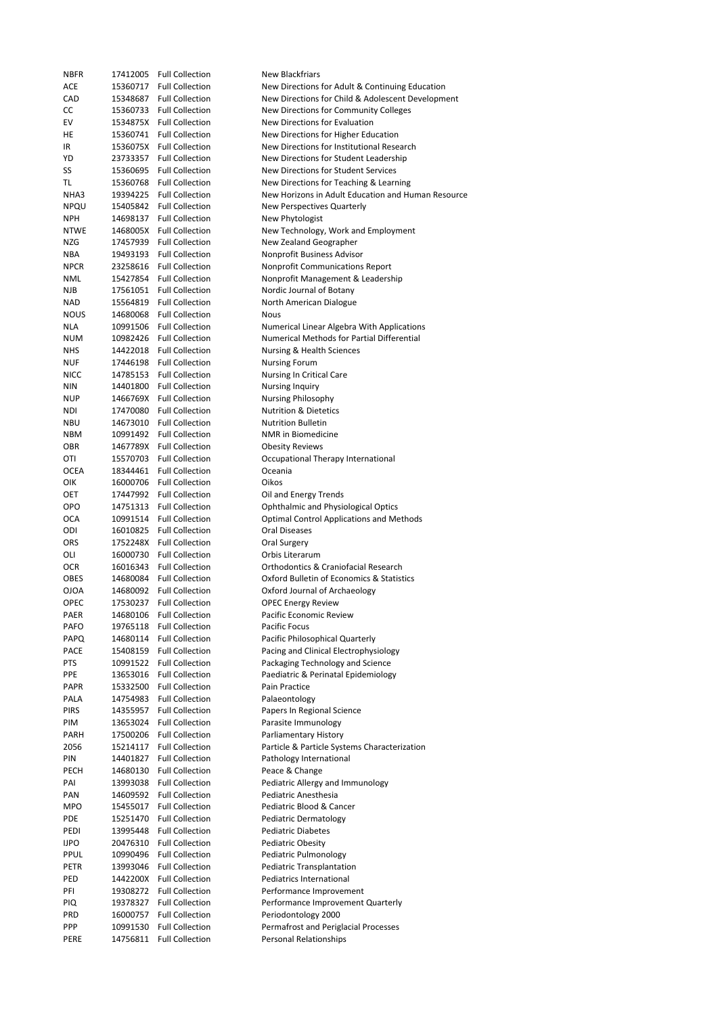| NBFR | 17412005 | <b>Full Collection</b>   | New Blackfriars                                    |
|------|----------|--------------------------|----------------------------------------------------|
| ACE  | 15360717 | <b>Full Collection</b>   | New Directions for Adult & Continuing Education    |
| CAD  | 15348687 | <b>Full Collection</b>   | New Directions for Child & Adolescent Development  |
| СC   | 15360733 | <b>Full Collection</b>   | New Directions for Community Colleges              |
| EV   | 1534875X | Full Collection          | New Directions for Evaluation                      |
| НE   | 15360741 | <b>Full Collection</b>   | New Directions for Higher Education                |
| IR   |          | 1536075X Full Collection | New Directions for Institutional Research          |
| YD   | 23733357 | <b>Full Collection</b>   | New Directions for Student Leadership              |
| SS   | 15360695 | <b>Full Collection</b>   | New Directions for Student Services                |
| TL   | 15360768 | <b>Full Collection</b>   | New Directions for Teaching & Learning             |
|      |          | <b>Full Collection</b>   |                                                    |
| NHA3 | 19394225 |                          | New Horizons in Adult Education and Human Resource |
| NPQU | 15405842 | <b>Full Collection</b>   | New Perspectives Quarterly                         |
| NPH  | 14698137 | <b>Full Collection</b>   | New Phytologist                                    |
| NTWE | 1468005X | <b>Full Collection</b>   | New Technology, Work and Employment                |
| NZG  | 17457939 | <b>Full Collection</b>   | New Zealand Geographer                             |
| NBA  | 19493193 | <b>Full Collection</b>   | Nonprofit Business Advisor                         |
| NPCR | 23258616 | <b>Full Collection</b>   | <b>Nonprofit Communications Report</b>             |
| NML  | 15427854 | <b>Full Collection</b>   | Nonprofit Management & Leadership                  |
| NJB  | 17561051 | <b>Full Collection</b>   | Nordic Journal of Botany                           |
| NAD  | 15564819 | <b>Full Collection</b>   | North American Dialogue                            |
| NOUS | 14680068 | <b>Full Collection</b>   | <b>Nous</b>                                        |
| NLA  | 10991506 | <b>Full Collection</b>   | Numerical Linear Algebra With Applications         |
| NUM  | 10982426 | <b>Full Collection</b>   | Numerical Methods for Partial Differential         |
| NHS  | 14422018 | <b>Full Collection</b>   | Nursing & Health Sciences                          |
|      | 17446198 | <b>Full Collection</b>   |                                                    |
| NUF  |          |                          | <b>Nursing Forum</b>                               |
| NICC | 14785153 | <b>Full Collection</b>   | Nursing In Critical Care                           |
| NIN  | 14401800 | <b>Full Collection</b>   | <b>Nursing Inquiry</b>                             |
| NUP  | 1466769X | <b>Full Collection</b>   | <b>Nursing Philosophy</b>                          |
| NDI  | 17470080 | <b>Full Collection</b>   | <b>Nutrition &amp; Dietetics</b>                   |
| NBU  | 14673010 | <b>Full Collection</b>   | <b>Nutrition Bulletin</b>                          |
| NBM  | 10991492 | <b>Full Collection</b>   | NMR in Biomedicine                                 |
| OBR  | 1467789X | <b>Full Collection</b>   | <b>Obesity Reviews</b>                             |
| OTI  | 15570703 | <b>Full Collection</b>   | Occupational Therapy International                 |
| OCEA | 18344461 | <b>Full Collection</b>   | Oceania                                            |
| OIK  | 16000706 | <b>Full Collection</b>   | Oikos                                              |
| OET  | 17447992 | <b>Full Collection</b>   | Oil and Energy Trends                              |
| OPO  | 14751313 | <b>Full Collection</b>   | <b>Ophthalmic and Physiological Optics</b>         |
| OCA  | 10991514 | <b>Full Collection</b>   | <b>Optimal Control Applications and Methods</b>    |
| ODI  | 16010825 | <b>Full Collection</b>   | Oral Diseases                                      |
|      |          |                          |                                                    |
| ORS  | 1752248X | <b>Full Collection</b>   | Oral Surgery                                       |
| OLI  | 16000730 | <b>Full Collection</b>   | Orbis Literarum                                    |
| OCR  | 16016343 | <b>Full Collection</b>   | <b>Orthodontics &amp; Craniofacial Research</b>    |
| OBES | 14680084 | <b>Full Collection</b>   | Oxford Bulletin of Economics & Statistics          |
| OJOA | 14680092 | <b>Full Collection</b>   | Oxford Journal of Archaeology                      |
| OPEC | 17530237 | <b>Full Collection</b>   | <b>OPEC Energy Review</b>                          |
| PAER | 14680106 | <b>Full Collection</b>   | Pacific Economic Review                            |
| PAFO | 19765118 | <b>Full Collection</b>   | Pacific Focus                                      |
| PAPQ | 14680114 | <b>Full Collection</b>   | Pacific Philosophical Quarterly                    |
| PACE | 15408159 | <b>Full Collection</b>   | Pacing and Clinical Electrophysiology              |
| PTS  | 10991522 | <b>Full Collection</b>   | Packaging Technology and Science                   |
| PPE  | 13653016 | <b>Full Collection</b>   | Paediatric & Perinatal Epidemiology                |
| PAPR | 15332500 | <b>Full Collection</b>   | Pain Practice                                      |
| PALA | 14754983 | <b>Full Collection</b>   | Palaeontology                                      |
|      |          |                          |                                                    |
| PIRS | 14355957 | <b>Full Collection</b>   | Papers In Regional Science                         |
| PIM  | 13653024 | <b>Full Collection</b>   | Parasite Immunology                                |
| PARH | 17500206 | <b>Full Collection</b>   | Parliamentary History                              |
| 2056 | 15214117 | <b>Full Collection</b>   | Particle & Particle Systems Characterization       |
| PIN  | 14401827 | <b>Full Collection</b>   | Pathology International                            |
| PECH | 14680130 | <b>Full Collection</b>   | Peace & Change                                     |
| PAI  | 13993038 | <b>Full Collection</b>   | Pediatric Allergy and Immunology                   |
| PAN  | 14609592 | <b>Full Collection</b>   | Pediatric Anesthesia                               |
| MPO  | 15455017 | <b>Full Collection</b>   | Pediatric Blood & Cancer                           |
| PDE  | 15251470 | <b>Full Collection</b>   | Pediatric Dermatology                              |
| PEDI | 13995448 | <b>Full Collection</b>   | <b>Pediatric Diabetes</b>                          |
| IJPO | 20476310 | <b>Full Collection</b>   | <b>Pediatric Obesity</b>                           |
| PPUL | 10990496 | <b>Full Collection</b>   | Pediatric Pulmonology                              |
| PETR | 13993046 | <b>Full Collection</b>   | <b>Pediatric Transplantation</b>                   |
|      |          |                          |                                                    |
| PED  |          | 1442200X Full Collection | Pediatrics International                           |
| PFI  |          | 19308272 Full Collection | Performance Improvement                            |
| PIQ  | 19378327 | <b>Full Collection</b>   | Performance Improvement Quarterly                  |
| PRD  | 16000757 | <b>Full Collection</b>   | Periodontology 2000                                |
| PPP  | 10991530 | <b>Full Collection</b>   | Permafrost and Periglacial Processes               |
| PERE | 14756811 | <b>Full Collection</b>   | Personal Relationships                             |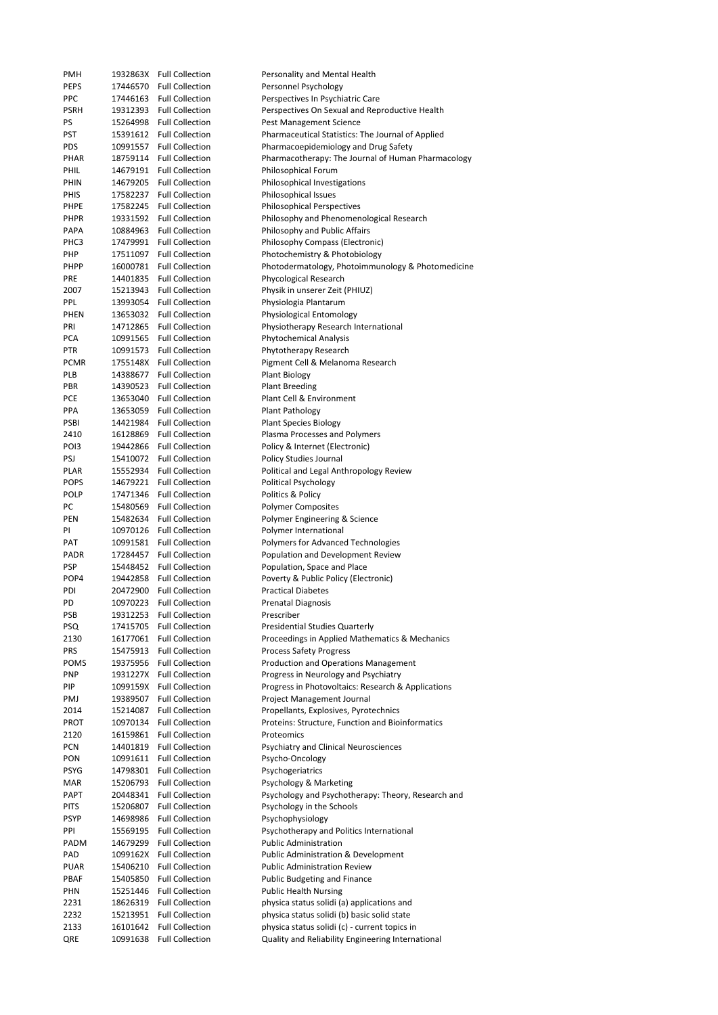| <b>PMH</b>       |          | 1932863X Full Collection | Personality and Mental Health                      |
|------------------|----------|--------------------------|----------------------------------------------------|
| <b>PEPS</b>      |          | 17446570 Full Collection | Personnel Psychology                               |
| <b>PPC</b>       |          | 17446163 Full Collection | Perspectives In Psychiatric Care                   |
|                  |          |                          |                                                    |
| <b>PSRH</b>      |          | 19312393 Full Collection | Perspectives On Sexual and Reproductive Health     |
| PS               |          | 15264998 Full Collection | Pest Management Science                            |
| PST              |          | 15391612 Full Collection | Pharmaceutical Statistics: The Journal of Applied  |
| <b>PDS</b>       |          | 10991557 Full Collection | Pharmacoepidemiology and Drug Safety               |
|                  |          |                          |                                                    |
| PHAR             |          | 18759114 Full Collection | Pharmacotherapy: The Journal of Human Pharmacology |
| PHIL             |          | 14679191 Full Collection | Philosophical Forum                                |
| PHIN             |          | 14679205 Full Collection | Philosophical Investigations                       |
| PHIS             |          | 17582237 Full Collection | Philosophical Issues                               |
| PHPE             |          | 17582245 Full Collection | <b>Philosophical Perspectives</b>                  |
|                  |          |                          |                                                    |
| PHPR             |          | 19331592 Full Collection | Philosophy and Phenomenological Research           |
| PAPA             | 10884963 | <b>Full Collection</b>   | Philosophy and Public Affairs                      |
| PHC3             | 17479991 | <b>Full Collection</b>   | Philosophy Compass (Electronic)                    |
| PHP              |          | 17511097 Full Collection | Photochemistry & Photobiology                      |
| PHPP             |          | 16000781 Full Collection | Photodermatology, Photoimmunology & Photomedicine  |
|                  |          |                          |                                                    |
| <b>PRE</b>       |          | 14401835 Full Collection | Phycological Research                              |
| 2007             |          | 15213943 Full Collection | Physik in unserer Zeit (PHIUZ)                     |
| PPL              |          | 13993054 Full Collection | Physiologia Plantarum                              |
| PHEN             |          | 13653032 Full Collection | Physiological Entomology                           |
|                  |          |                          |                                                    |
| PRI              |          | 14712865 Full Collection | Physiotherapy Research International               |
| <b>PCA</b>       |          | 10991565 Full Collection | <b>Phytochemical Analysis</b>                      |
| <b>PTR</b>       |          | 10991573 Full Collection | Phytotherapy Research                              |
| <b>PCMR</b>      |          | 1755148X Full Collection | Pigment Cell & Melanoma Research                   |
| PLB              |          | 14388677 Full Collection | <b>Plant Biology</b>                               |
|                  |          |                          |                                                    |
| PBR              |          | 14390523 Full Collection | <b>Plant Breeding</b>                              |
| <b>PCE</b>       |          | 13653040 Full Collection | Plant Cell & Environment                           |
| PPA              |          | 13653059 Full Collection | Plant Pathology                                    |
| PSBI             |          | 14421984 Full Collection | <b>Plant Species Biology</b>                       |
|                  |          |                          |                                                    |
| 2410             |          | 16128869 Full Collection | Plasma Processes and Polymers                      |
| PO <sub>13</sub> |          | 19442866 Full Collection | Policy & Internet (Electronic)                     |
| PSJ              |          | 15410072 Full Collection | Policy Studies Journal                             |
| PLAR             |          | 15552934 Full Collection | Political and Legal Anthropology Review            |
| <b>POPS</b>      |          | 14679221 Full Collection | <b>Political Psychology</b>                        |
|                  |          |                          |                                                    |
| <b>POLP</b>      | 17471346 | <b>Full Collection</b>   | Politics & Policy                                  |
| PC               |          | 15480569 Full Collection | <b>Polymer Composites</b>                          |
| PEN              |          | 15482634 Full Collection | Polymer Engineering & Science                      |
| PI               |          | 10970126 Full Collection | Polymer International                              |
| PAT              |          | 10991581 Full Collection | Polymers for Advanced Technologies                 |
|                  |          |                          |                                                    |
| PADR             |          | 17284457 Full Collection | Population and Development Review                  |
| <b>PSP</b>       |          | 15448452 Full Collection | Population, Space and Place                        |
| POP4             |          | 19442858 Full Collection | Poverty & Public Policy (Electronic)               |
| PDI              |          | 20472900 Full Collection | <b>Practical Diabetes</b>                          |
| PD               |          | 10970223 Full Collection |                                                    |
|                  |          |                          | Prenatal Diagnosis                                 |
| PSB              |          | 19312253 Full Collection | Prescriber                                         |
| PSQ              | 17415705 | <b>Full Collection</b>   | <b>Presidential Studies Quarterly</b>              |
| 2130             |          | 16177061 Full Collection | Proceedings in Applied Mathematics & Mechanics     |
| PRS              |          | 15475913 Full Collection | <b>Process Safety Progress</b>                     |
|                  |          |                          |                                                    |
| <b>POMS</b>      |          | 19375956 Full Collection | Production and Operations Management               |
| <b>PNP</b>       |          | 1931227X Full Collection | Progress in Neurology and Psychiatry               |
| PIP              |          | 1099159X Full Collection | Progress in Photovoltaics: Research & Applications |
| PMJ              | 19389507 | <b>Full Collection</b>   | Project Management Journal                         |
| 2014             | 15214087 | <b>Full Collection</b>   | Propellants, Explosives, Pyrotechnics              |
|                  |          |                          |                                                    |
| <b>PROT</b>      | 10970134 | <b>Full Collection</b>   | Proteins: Structure, Function and Bioinformatics   |
| 2120             | 16159861 | <b>Full Collection</b>   | Proteomics                                         |
| PCN              | 14401819 | <b>Full Collection</b>   | Psychiatry and Clinical Neurosciences              |
| PON              | 10991611 | <b>Full Collection</b>   | Psycho-Oncology                                    |
| <b>PSYG</b>      | 14798301 | <b>Full Collection</b>   | Psychogeriatrics                                   |
|                  |          |                          |                                                    |
| MAR              |          | 15206793 Full Collection | Psychology & Marketing                             |
| PAPT             | 20448341 | <b>Full Collection</b>   | Psychology and Psychotherapy: Theory, Research and |
| <b>PITS</b>      | 15206807 | <b>Full Collection</b>   | Psychology in the Schools                          |
| <b>PSYP</b>      | 14698986 | <b>Full Collection</b>   | Psychophysiology                                   |
| PPI              | 15569195 | <b>Full Collection</b>   | Psychotherapy and Politics International           |
|                  |          |                          |                                                    |
| PADM             | 14679299 | <b>Full Collection</b>   | <b>Public Administration</b>                       |
| PAD              |          | 1099162X Full Collection | <b>Public Administration &amp; Development</b>     |
| <b>PUAR</b>      | 15406210 | <b>Full Collection</b>   | <b>Public Administration Review</b>                |
| PBAF             | 15405850 | <b>Full Collection</b>   | Public Budgeting and Finance                       |
|                  |          |                          |                                                    |
| PHN              | 15251446 | <b>Full Collection</b>   | <b>Public Health Nursing</b>                       |
| 2231             | 18626319 | <b>Full Collection</b>   | physica status solidi (a) applications and         |
| 2232             | 15213951 | <b>Full Collection</b>   | physica status solidi (b) basic solid state        |
| 2133             | 16101642 | <b>Full Collection</b>   | physica status solidi (c) - current topics in      |
| QRE              | 10991638 | <b>Full Collection</b>   | Quality and Reliability Engineering International  |
|                  |          |                          |                                                    |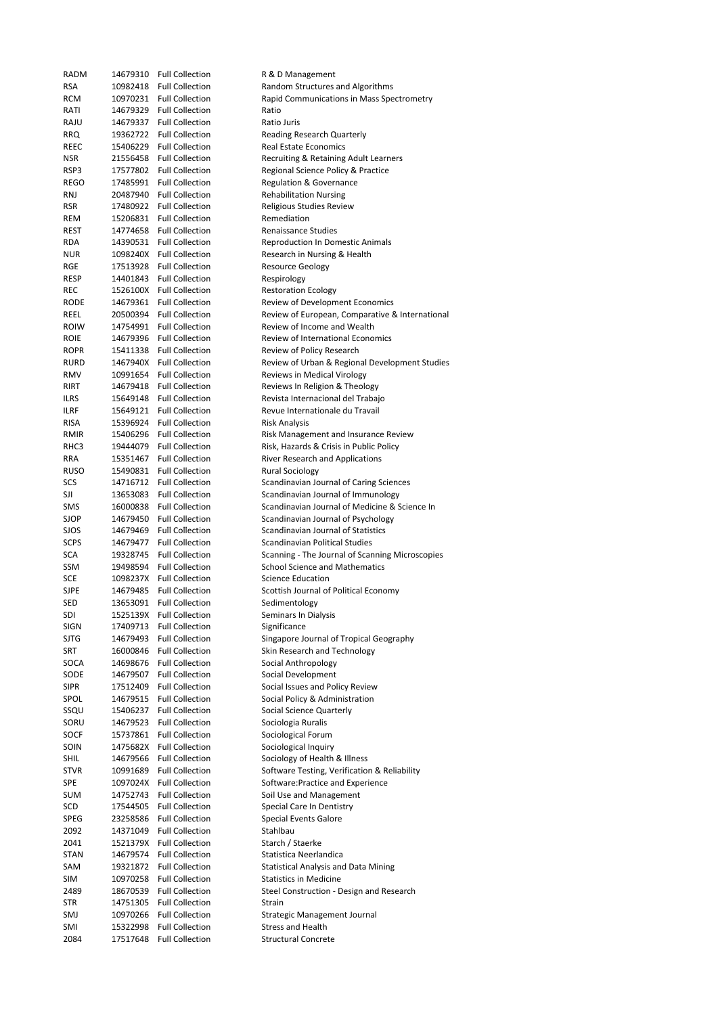| <b>RADM</b> | 14679310 | <b>Full Collection</b>                           | R & D Management                                                     |
|-------------|----------|--------------------------------------------------|----------------------------------------------------------------------|
| <b>RSA</b>  | 10982418 | <b>Full Collection</b>                           | Random Structures and Algorithms                                     |
| RCM         | 10970231 | <b>Full Collection</b>                           | Rapid Communications in Mass Spectrometry                            |
|             |          | <b>Full Collection</b>                           | Ratio                                                                |
| RATI        | 14679329 |                                                  |                                                                      |
| RAJU        | 14679337 | <b>Full Collection</b><br><b>Full Collection</b> | Ratio Juris                                                          |
| <b>RRQ</b>  | 19362722 |                                                  | Reading Research Quarterly                                           |
| REEC        | 15406229 | <b>Full Collection</b>                           | <b>Real Estate Economics</b>                                         |
| <b>NSR</b>  | 21556458 | <b>Full Collection</b>                           | Recruiting & Retaining Adult Learners                                |
| RSP3        | 17577802 | <b>Full Collection</b>                           | Regional Science Policy & Practice                                   |
| REGO        | 17485991 | <b>Full Collection</b>                           | Regulation & Governance                                              |
| RNJ         | 20487940 | <b>Full Collection</b>                           | <b>Rehabilitation Nursing</b>                                        |
| RSR         | 17480922 | <b>Full Collection</b>                           | Religious Studies Review                                             |
| REM         | 15206831 | <b>Full Collection</b>                           | Remediation                                                          |
| REST        | 14774658 | <b>Full Collection</b>                           | <b>Renaissance Studies</b>                                           |
| RDA         | 14390531 | <b>Full Collection</b>                           | <b>Reproduction In Domestic Animals</b>                              |
| <b>NUR</b>  |          | 1098240X Full Collection                         | Research in Nursing & Health                                         |
| RGE         | 17513928 | <b>Full Collection</b>                           | <b>Resource Geology</b>                                              |
| RESP        | 14401843 | <b>Full Collection</b>                           | Respirology                                                          |
| REC         |          | 1526100X Full Collection                         | <b>Restoration Ecology</b>                                           |
| RODE        | 14679361 | <b>Full Collection</b>                           | Review of Development Economics                                      |
| REEL        | 20500394 | <b>Full Collection</b>                           | Review of European, Comparative & International                      |
| <b>ROIW</b> | 14754991 | <b>Full Collection</b>                           | Review of Income and Wealth                                          |
| <b>ROIE</b> | 14679396 | <b>Full Collection</b>                           | <b>Review of International Economics</b>                             |
| <b>ROPR</b> | 15411338 | <b>Full Collection</b>                           | Review of Policy Research                                            |
| RURD        | 1467940X | <b>Full Collection</b>                           | Review of Urban & Regional Development Studies                       |
| RMV         | 10991654 | <b>Full Collection</b>                           | Reviews in Medical Virology                                          |
| RIRT        | 14679418 | <b>Full Collection</b>                           | Reviews In Religion & Theology                                       |
| <b>ILRS</b> |          | <b>Full Collection</b>                           |                                                                      |
|             | 15649148 | <b>Full Collection</b>                           | Revista Internacional del Trabajo<br>Revue Internationale du Travail |
| ILRF        | 15649121 |                                                  |                                                                      |
| <b>RISA</b> | 15396924 | <b>Full Collection</b>                           | <b>Risk Analysis</b>                                                 |
| <b>RMIR</b> | 15406296 | <b>Full Collection</b>                           | Risk Management and Insurance Review                                 |
| RHC3        | 19444079 | <b>Full Collection</b>                           | Risk, Hazards & Crisis in Public Policy                              |
| RRA         | 15351467 | <b>Full Collection</b>                           | River Research and Applications                                      |
| <b>RUSO</b> | 15490831 | <b>Full Collection</b>                           | <b>Rural Sociology</b>                                               |
| SCS         | 14716712 | <b>Full Collection</b>                           | Scandinavian Journal of Caring Sciences                              |
| SJI         | 13653083 | <b>Full Collection</b>                           | Scandinavian Journal of Immunology                                   |
| SMS         | 16000838 | <b>Full Collection</b>                           | Scandinavian Journal of Medicine & Science In                        |
| SJOP        | 14679450 | <b>Full Collection</b>                           | Scandinavian Journal of Psychology                                   |
| SJOS        | 14679469 | <b>Full Collection</b>                           | Scandinavian Journal of Statistics                                   |
| <b>SCPS</b> | 14679477 | <b>Full Collection</b>                           | Scandinavian Political Studies                                       |
| SCA         | 19328745 | <b>Full Collection</b>                           | Scanning - The Journal of Scanning Microscopies                      |
| SSM         | 19498594 | <b>Full Collection</b>                           | <b>School Science and Mathematics</b>                                |
| SCE         | 1098237X | <b>Full Collection</b>                           | <b>Science Education</b>                                             |
| SJPE        | 14679485 | <b>Full Collection</b>                           | Scottish Journal of Political Economy                                |
| SED         | 13653091 | <b>Full Collection</b>                           | Sedimentology                                                        |
| SDI         | 1525139X | <b>Full Collection</b>                           | Seminars In Dialysis                                                 |
| SIGN        | 17409713 | <b>Full Collection</b>                           | Significance                                                         |
| SJTG        | 14679493 | <b>Full Collection</b>                           | Singapore Journal of Tropical Geography                              |
| SRT         | 16000846 | <b>Full Collection</b>                           | Skin Research and Technology                                         |
| SOCA        | 14698676 | <b>Full Collection</b>                           | Social Anthropology                                                  |
|             | 14679507 | <b>Full Collection</b>                           | Social Development                                                   |
| SODE        |          | <b>Full Collection</b>                           | Social Issues and Policy Review                                      |
| SIPR        | 17512409 |                                                  |                                                                      |
| SPOL        | 14679515 | <b>Full Collection</b>                           | Social Policy & Administration                                       |
| SSQU        | 15406237 | <b>Full Collection</b>                           | Social Science Quarterly                                             |
| SORU        | 14679523 | <b>Full Collection</b>                           | Sociologia Ruralis                                                   |
| SOCF        | 15737861 | <b>Full Collection</b>                           | Sociological Forum                                                   |
| SOIN        | 1475682X | <b>Full Collection</b>                           | Sociological Inquiry                                                 |
| SHIL        | 14679566 | <b>Full Collection</b>                           | Sociology of Health & Illness                                        |
| <b>STVR</b> | 10991689 | <b>Full Collection</b>                           | Software Testing, Verification & Reliability                         |
| SPE         | 1097024X | <b>Full Collection</b>                           | Software: Practice and Experience                                    |
| <b>SUM</b>  | 14752743 | <b>Full Collection</b>                           | Soil Use and Management                                              |
| SCD         | 17544505 | <b>Full Collection</b>                           | Special Care In Dentistry                                            |
| SPEG        | 23258586 | <b>Full Collection</b>                           | <b>Special Events Galore</b>                                         |
| 2092        | 14371049 | <b>Full Collection</b>                           | Stahlbau                                                             |
| 2041        | 1521379X | <b>Full Collection</b>                           | Starch / Staerke                                                     |
| STAN        | 14679574 | <b>Full Collection</b>                           | Statistica Neerlandica                                               |
| SAM         | 19321872 | <b>Full Collection</b>                           | <b>Statistical Analysis and Data Mining</b>                          |
| SIM         | 10970258 | <b>Full Collection</b>                           | <b>Statistics in Medicine</b>                                        |
| 2489        | 18670539 | <b>Full Collection</b>                           | Steel Construction - Design and Research                             |
| STR         | 14751305 | <b>Full Collection</b>                           | Strain                                                               |
| SMJ         | 10970266 | <b>Full Collection</b>                           | <b>Strategic Management Journal</b>                                  |
| SMI         | 15322998 | <b>Full Collection</b>                           | <b>Stress and Health</b>                                             |
| 2084        | 17517648 | <b>Full Collection</b>                           | <b>Structural Concrete</b>                                           |
|             |          |                                                  |                                                                      |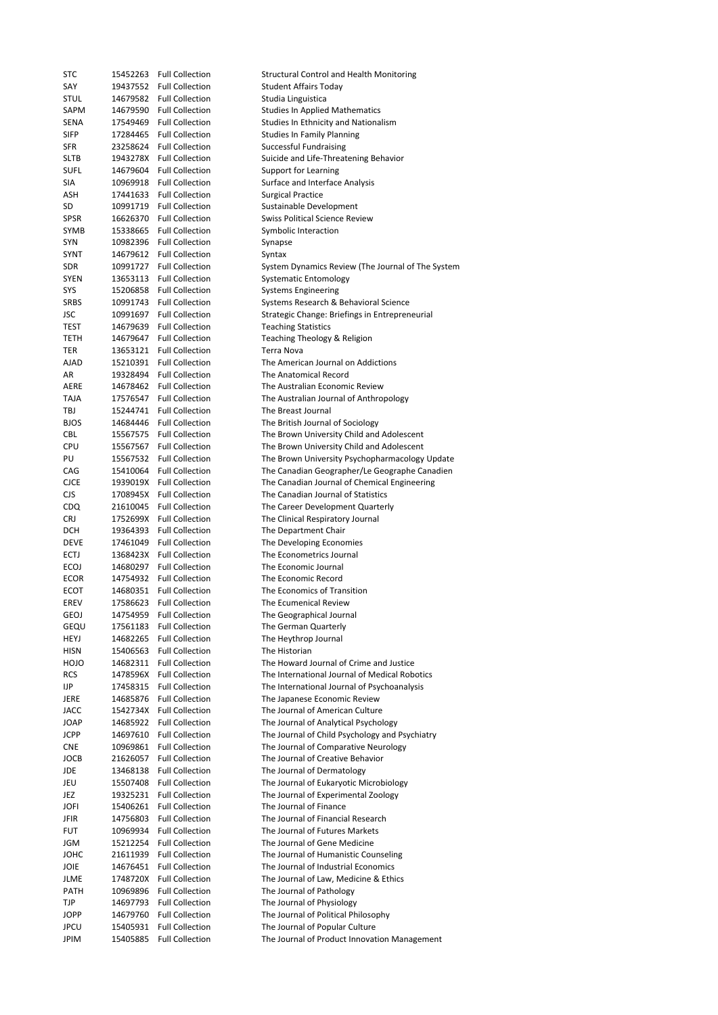| STC                 | 15452263             | <b>Full Collection</b>                           | <b>Structural Control and Health Monitoring</b>                                             |
|---------------------|----------------------|--------------------------------------------------|---------------------------------------------------------------------------------------------|
| SAY                 | 19437552             | <b>Full Collection</b>                           | Student Affairs Today                                                                       |
| STUL                | 14679582             | <b>Full Collection</b>                           | Studia Linguistica                                                                          |
| SAPM                | 14679590             | <b>Full Collection</b>                           | <b>Studies In Applied Mathematics</b>                                                       |
| SENA                | 17549469             | <b>Full Collection</b>                           | Studies In Ethnicity and Nationalism                                                        |
| <b>SIFP</b>         | 17284465             | <b>Full Collection</b>                           | <b>Studies In Family Planning</b>                                                           |
| SFR                 | 23258624             | <b>Full Collection</b>                           | <b>Successful Fundraising</b>                                                               |
| SLTB                | 1943278X             | <b>Full Collection</b>                           | Suicide and Life-Threatening Behavior                                                       |
| <b>SUFL</b>         | 14679604             | <b>Full Collection</b>                           | Support for Learning                                                                        |
| SIA                 | 10969918             | <b>Full Collection</b>                           | Surface and Interface Analysis                                                              |
| ASH                 | 17441633             | <b>Full Collection</b><br><b>Full Collection</b> | <b>Surgical Practice</b>                                                                    |
| SD<br>SPSR          | 10991719<br>16626370 | <b>Full Collection</b>                           | Sustainable Development<br><b>Swiss Political Science Review</b>                            |
| SYMB                | 15338665             | <b>Full Collection</b>                           | Symbolic Interaction                                                                        |
| SYN                 | 10982396             | <b>Full Collection</b>                           | Synapse                                                                                     |
| SYNT                | 14679612             | <b>Full Collection</b>                           | Syntax                                                                                      |
| SDR                 | 10991727             | <b>Full Collection</b>                           | System Dynamics Review (The Journal of The System                                           |
| SYEN                | 13653113             | <b>Full Collection</b>                           | <b>Systematic Entomology</b>                                                                |
| SYS                 | 15206858             | <b>Full Collection</b>                           | <b>Systems Engineering</b>                                                                  |
| SRBS                | 10991743             | <b>Full Collection</b>                           | Systems Research & Behavioral Science                                                       |
| JSC                 | 10991697             | <b>Full Collection</b>                           | Strategic Change: Briefings in Entrepreneurial                                              |
| TEST                | 14679639             | <b>Full Collection</b>                           | <b>Teaching Statistics</b>                                                                  |
| TETH                | 14679647             | <b>Full Collection</b>                           | Teaching Theology & Religion                                                                |
| TER                 | 13653121             | <b>Full Collection</b>                           | Terra Nova                                                                                  |
| AJAD                | 15210391             | <b>Full Collection</b>                           | The American Journal on Addictions                                                          |
| AR                  | 19328494             | <b>Full Collection</b>                           | The Anatomical Record                                                                       |
| AERE                | 14678462             | <b>Full Collection</b>                           | The Australian Economic Review                                                              |
| TAJA                | 17576547             | <b>Full Collection</b>                           | The Australian Journal of Anthropology                                                      |
| TBJ                 | 15244741             | <b>Full Collection</b>                           | The Breast Journal                                                                          |
| <b>BJOS</b>         | 14684446             | <b>Full Collection</b>                           | The British Journal of Sociology                                                            |
| CBL                 | 15567575<br>15567567 | <b>Full Collection</b><br><b>Full Collection</b> | The Brown University Child and Adolescent                                                   |
| CPU<br>PU           | 15567532             | <b>Full Collection</b>                           | The Brown University Child and Adolescent<br>The Brown University Psychopharmacology Update |
| CAG                 | 15410064             | <b>Full Collection</b>                           | The Canadian Geographer/Le Geographe Canadien                                               |
| <b>CJCE</b>         | 1939019X             | <b>Full Collection</b>                           | The Canadian Journal of Chemical Engineering                                                |
| <b>CJS</b>          | 1708945X             | <b>Full Collection</b>                           | The Canadian Journal of Statistics                                                          |
| CDQ                 | 21610045             | <b>Full Collection</b>                           | The Career Development Quarterly                                                            |
| <b>CRJ</b>          | 1752699X             | <b>Full Collection</b>                           | The Clinical Respiratory Journal                                                            |
| DCH                 | 19364393             | <b>Full Collection</b>                           | The Department Chair                                                                        |
| DEVE                | 17461049             | <b>Full Collection</b>                           | The Developing Economies                                                                    |
| ECTJ                | 1368423X             | <b>Full Collection</b>                           | The Econometrics Journal                                                                    |
| ECOJ                | 14680297             | <b>Full Collection</b>                           | The Economic Journal                                                                        |
| ECOR                | 14754932             | <b>Full Collection</b>                           | The Economic Record                                                                         |
| ECOT                | 14680351             | <b>Full Collection</b>                           | The Economics of Transition                                                                 |
| EREV                | 17586623             | <b>Full Collection</b>                           | The Ecumenical Review                                                                       |
| GEOJ                | 14754959             | <b>Full Collection</b>                           | The Geographical Journal                                                                    |
| gequ                | 17561183             | <b>Full Collection</b>                           | The German Quarterly                                                                        |
| HEYJ                | 14682265             | <b>Full Collection</b>                           | The Heythrop Journal                                                                        |
| HISN<br><b>OLOH</b> | 15406563             | <b>Full Collection</b><br><b>Full Collection</b> | The Historian<br>The Howard Journal of Crime and Justice                                    |
| <b>RCS</b>          | 14682311<br>1478596X | <b>Full Collection</b>                           | The International Journal of Medical Robotics                                               |
| IJP                 | 17458315             | <b>Full Collection</b>                           | The International Journal of Psychoanalysis                                                 |
| JERE                | 14685876             | <b>Full Collection</b>                           | The Japanese Economic Review                                                                |
| JACC                | 1542734X             | <b>Full Collection</b>                           | The Journal of American Culture                                                             |
| JOAP                | 14685922             | <b>Full Collection</b>                           | The Journal of Analytical Psychology                                                        |
| JCPP                | 14697610             | <b>Full Collection</b>                           | The Journal of Child Psychology and Psychiatry                                              |
| CNE                 | 10969861             | <b>Full Collection</b>                           | The Journal of Comparative Neurology                                                        |
| JOCB                | 21626057             | <b>Full Collection</b>                           | The Journal of Creative Behavior                                                            |
| JDE                 | 13468138             | <b>Full Collection</b>                           | The Journal of Dermatology                                                                  |
| JEU                 | 15507408             | <b>Full Collection</b>                           | The Journal of Eukaryotic Microbiology                                                      |
| JEZ                 | 19325231             | <b>Full Collection</b>                           | The Journal of Experimental Zoology                                                         |
| JOFI                | 15406261             | <b>Full Collection</b>                           | The Journal of Finance                                                                      |
| JFIR                | 14756803             | <b>Full Collection</b>                           | The Journal of Financial Research                                                           |
| FUT                 | 10969934             | <b>Full Collection</b>                           | The Journal of Futures Markets                                                              |
| JGM                 | 15212254             | <b>Full Collection</b>                           | The Journal of Gene Medicine                                                                |
| JOHC                | 21611939             | <b>Full Collection</b><br><b>Full Collection</b> | The Journal of Humanistic Counseling<br>The Journal of Industrial Economics                 |
| JOIE<br>JLME        | 14676451<br>1748720X | <b>Full Collection</b>                           | The Journal of Law, Medicine & Ethics                                                       |
| PATH                | 10969896             | <b>Full Collection</b>                           | The Journal of Pathology                                                                    |
| TJP                 | 14697793             | <b>Full Collection</b>                           | The Journal of Physiology                                                                   |
| JOPP                | 14679760             | <b>Full Collection</b>                           | The Journal of Political Philosophy                                                         |
| JPCU                | 15405931             | <b>Full Collection</b>                           | The Journal of Popular Culture                                                              |
| JPIM                | 15405885             | <b>Full Collection</b>                           | The Journal of Product Innovation Management                                                |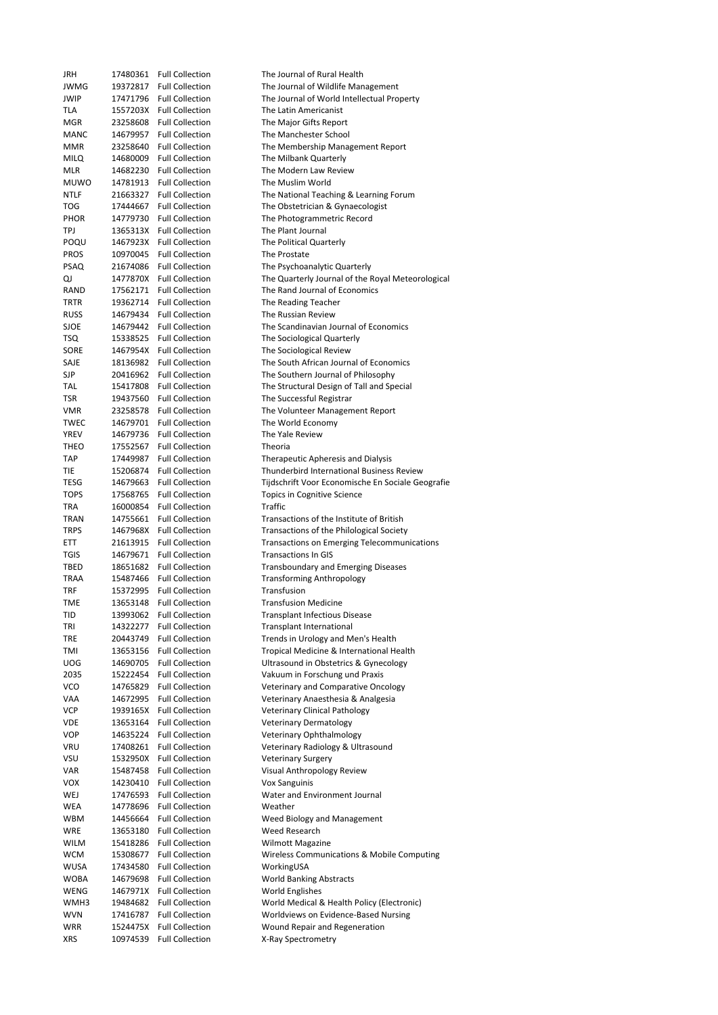| JRH         | 17480361 | <b>Full Collection</b>   | The Journal of Rural Health                       |
|-------------|----------|--------------------------|---------------------------------------------------|
| <b>JWMG</b> | 19372817 | <b>Full Collection</b>   | The Journal of Wildlife Management                |
| <b>JWIP</b> | 17471796 | <b>Full Collection</b>   | The Journal of World Intellectual Property        |
| TLA         | 1557203X | <b>Full Collection</b>   | The Latin Americanist                             |
| MGR         | 23258608 | <b>Full Collection</b>   | The Major Gifts Report                            |
| MANC        | 14679957 | <b>Full Collection</b>   | The Manchester School                             |
| MMR         | 23258640 | <b>Full Collection</b>   | The Membership Management Report                  |
| MILQ        | 14680009 | <b>Full Collection</b>   | The Milbank Quarterly                             |
| MLR         | 14682230 | <b>Full Collection</b>   | The Modern Law Review                             |
| <b>MUWO</b> | 14781913 | <b>Full Collection</b>   | The Muslim World                                  |
|             |          |                          |                                                   |
| NTLF        | 21663327 | <b>Full Collection</b>   | The National Teaching & Learning Forum            |
| TOG         | 17444667 | <b>Full Collection</b>   | The Obstetrician & Gynaecologist                  |
| <b>PHOR</b> | 14779730 | <b>Full Collection</b>   | The Photogrammetric Record                        |
| TPJ         |          | 1365313X Full Collection | The Plant Journal                                 |
| POQU        |          | 1467923X Full Collection | The Political Quarterly                           |
| <b>PROS</b> | 10970045 | <b>Full Collection</b>   | The Prostate                                      |
| <b>PSAQ</b> | 21674086 | <b>Full Collection</b>   | The Psychoanalytic Quarterly                      |
| QJ          | 1477870X | <b>Full Collection</b>   | The Quarterly Journal of the Royal Meteorological |
| RAND        | 17562171 | <b>Full Collection</b>   | The Rand Journal of Economics                     |
|             |          |                          |                                                   |
| TRTR        | 19362714 | <b>Full Collection</b>   | The Reading Teacher                               |
| <b>RUSS</b> | 14679434 | <b>Full Collection</b>   | The Russian Review                                |
| <b>SJOE</b> | 14679442 | <b>Full Collection</b>   | The Scandinavian Journal of Economics             |
| TSQ         | 15338525 | <b>Full Collection</b>   | The Sociological Quarterly                        |
| SORE        | 1467954X | <b>Full Collection</b>   | The Sociological Review                           |
| SAJE        | 18136982 | <b>Full Collection</b>   | The South African Journal of Economics            |
| SJP         | 20416962 | <b>Full Collection</b>   | The Southern Journal of Philosophy                |
| TAL         | 15417808 | <b>Full Collection</b>   | The Structural Design of Tall and Special         |
| TSR         | 19437560 | <b>Full Collection</b>   | The Successful Registrar                          |
|             |          |                          |                                                   |
| VMR         | 23258578 | <b>Full Collection</b>   | The Volunteer Management Report                   |
| TWEC        | 14679701 | <b>Full Collection</b>   | The World Economy                                 |
| YREV        | 14679736 | <b>Full Collection</b>   | The Yale Review                                   |
| THEO        | 17552567 | <b>Full Collection</b>   | Theoria                                           |
| <b>TAP</b>  | 17449987 | <b>Full Collection</b>   | Therapeutic Apheresis and Dialysis                |
| TIE         | 15206874 | <b>Full Collection</b>   | Thunderbird International Business Review         |
| TESG        | 14679663 | <b>Full Collection</b>   | Tijdschrift Voor Economische En Sociale Geografie |
| <b>TOPS</b> | 17568765 | <b>Full Collection</b>   | Topics in Cognitive Science                       |
| TRA         | 16000854 | <b>Full Collection</b>   | Traffic                                           |
|             |          |                          |                                                   |
| TRAN        | 14755661 | <b>Full Collection</b>   | Transactions of the Institute of British          |
| <b>TRPS</b> | 1467968X | <b>Full Collection</b>   | Transactions of the Philological Society          |
| ETT         | 21613915 | <b>Full Collection</b>   | Transactions on Emerging Telecommunications       |
| TGIS        | 14679671 | <b>Full Collection</b>   | <b>Transactions In GIS</b>                        |
| TBED        | 18651682 | <b>Full Collection</b>   | <b>Transboundary and Emerging Diseases</b>        |
| TRAA        | 15487466 | <b>Full Collection</b>   | <b>Transforming Anthropology</b>                  |
| TRF         | 15372995 | <b>Full Collection</b>   | Transfusion                                       |
| TME         | 13653148 | <b>Full Collection</b>   | <b>Transfusion Medicine</b>                       |
| TID         | 13993062 | <b>Full Collection</b>   | <b>Transplant Infectious Disease</b>              |
|             |          | <b>Full Collection</b>   |                                                   |
| TRI         | 14322277 |                          | <b>Transplant International</b>                   |
| TRE         | 20443749 | <b>Full Collection</b>   | Trends in Urology and Men's Health                |
| TMI         | 13653156 | <b>Full Collection</b>   | Tropical Medicine & International Health          |
| <b>UOG</b>  | 14690705 | <b>Full Collection</b>   | Ultrasound in Obstetrics & Gynecology             |
| 2035        | 15222454 | <b>Full Collection</b>   | Vakuum in Forschung und Praxis                    |
| VCO         | 14765829 | <b>Full Collection</b>   | Veterinary and Comparative Oncology               |
| VAA         | 14672995 | <b>Full Collection</b>   | Veterinary Anaesthesia & Analgesia                |
| <b>VCP</b>  | 1939165X | <b>Full Collection</b>   | <b>Veterinary Clinical Pathology</b>              |
| VDE         | 13653164 | <b>Full Collection</b>   | <b>Veterinary Dermatology</b>                     |
| VOP         | 14635224 | <b>Full Collection</b>   | Veterinary Ophthalmology                          |
|             |          |                          |                                                   |
| VRU         | 17408261 | <b>Full Collection</b>   | Veterinary Radiology & Ultrasound                 |
| VSU         | 1532950X | <b>Full Collection</b>   | <b>Veterinary Surgery</b>                         |
| VAR         | 15487458 | <b>Full Collection</b>   | Visual Anthropology Review                        |
| VOX         | 14230410 | <b>Full Collection</b>   | <b>Vox Sanguinis</b>                              |
| WEJ         | 17476593 | <b>Full Collection</b>   | Water and Environment Journal                     |
| WEA         | 14778696 | <b>Full Collection</b>   | Weather                                           |
| WBM         | 14456664 | <b>Full Collection</b>   | Weed Biology and Management                       |
| WRE         | 13653180 | <b>Full Collection</b>   | Weed Research                                     |
| <b>WILM</b> | 15418286 | <b>Full Collection</b>   | <b>Wilmott Magazine</b>                           |
|             |          |                          |                                                   |
| WCM         |          |                          |                                                   |
| WUSA        | 15308677 | <b>Full Collection</b>   | Wireless Communications & Mobile Computing        |
|             | 17434580 | <b>Full Collection</b>   | WorkingUSA                                        |
| <b>WOBA</b> | 14679698 | <b>Full Collection</b>   | <b>World Banking Abstracts</b>                    |
| WENG        | 1467971X | <b>Full Collection</b>   | <b>World Englishes</b>                            |
| WMH3        | 19484682 | <b>Full Collection</b>   | World Medical & Health Policy (Electronic)        |
| <b>WVN</b>  | 17416787 | <b>Full Collection</b>   | Worldviews on Evidence-Based Nursing              |
| WRR         | 1524475X | <b>Full Collection</b>   | Wound Repair and Regeneration                     |
| XRS         | 10974539 | <b>Full Collection</b>   | X-Ray Spectrometry                                |